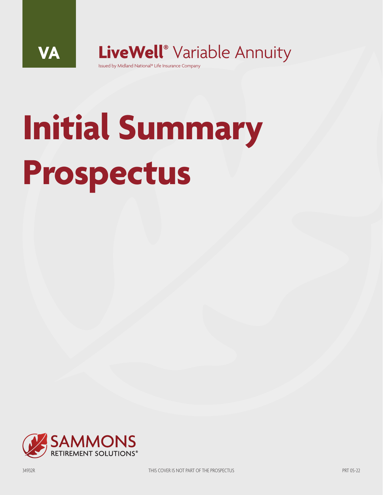**VA LiveWell®** Variable Annuity

Issued by Midland National® Life Insurance Company

# **Initial Summary Prospectus**

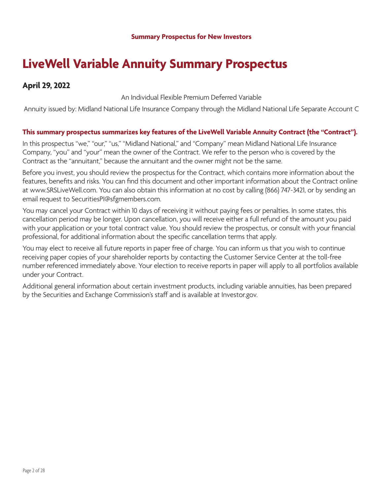### **LiveWell Variable Annuity Summary Prospectus**

#### **April 29, 2022**

An Individual Flexible Premium Deferred Variable

Annuity issued by: Midland National Life Insurance Company through the Midland National Life Separate Account C

#### **This summary prospectus summarizes key features of the LiveWell Variable Annuity Contract (the "Contract").**

In this prospectus "we," "our," "us," "Midland National," and "Company" mean Midland National Life Insurance Company, "you" and "your" mean the owner of the Contract. We refer to the person who is covered by the Contract as the "annuitant," because the annuitant and the owner might not be the same.

Before you invest, you should review the prospectus for the Contract, which contains more information about the features, benefits and risks. You can find this document and other important information about the Contract online at www.SRSLiveWell.com. You can also obtain this information at no cost by calling (866) 747-3421, or by sending an email request to SecuritiesPI@sfgmembers.com.

You may cancel your Contract within 10 days of receiving it without paying fees or penalties. In some states, this cancellation period may be longer. Upon cancellation, you will receive either a full refund of the amount you paid with your application or your total contract value. You should review the prospectus, or consult with your financial professional, for additional information about the specific cancellation terms that apply.

You may elect to receive all future reports in paper free of charge. You can inform us that you wish to continue receiving paper copies of your shareholder reports by contacting the Customer Service Center at the toll-free number referenced immediately above. Your election to receive reports in paper will apply to all portfolios available under your Contract.

Additional general information about certain investment products, including variable annuities, has been prepared by the Securities and Exchange Commission's staff and is available at Investor.gov.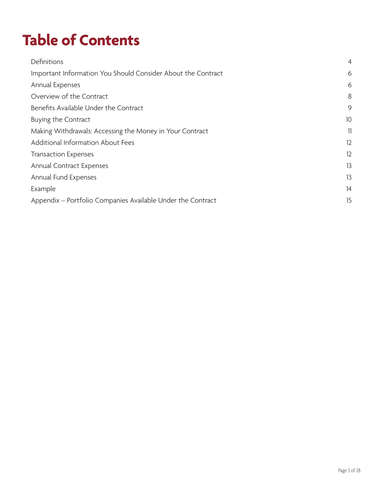# **Table of Contents**

| Definitions                                                  | $\overline{4}$ |
|--------------------------------------------------------------|----------------|
| Important Information You Should Consider About the Contract | 6              |
| Annual Expenses                                              | 6              |
| Overview of the Contract                                     | 8              |
| Benefits Available Under the Contract                        | 9              |
| Buying the Contract                                          | 10             |
| Making Withdrawals: Accessing the Money in Your Contract     | 11             |
| Additional Information About Fees                            | 12             |
| <b>Transaction Expenses</b>                                  | 12             |
| Annual Contract Expenses                                     | 13             |
| Annual Fund Expenses                                         | 13             |
| Example                                                      | 14             |
| Appendix - Portfolio Companies Available Under the Contract  | 15             |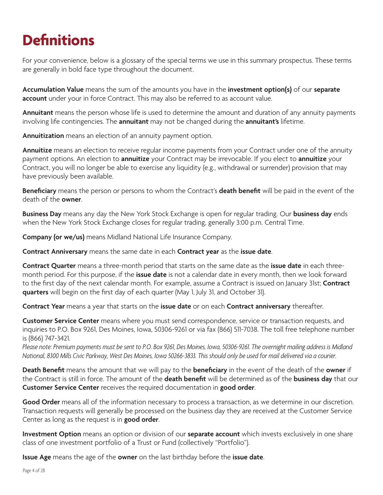# **Definitions**

For your convenience, below is a glossary of the special terms we use in this summary prospectus. These terms are generally in bold face type throughout the document.

**Accumulation Value** means the sum of the amounts you have in the **investment option(s)** of our **separate account** under your in force Contract. This may also be referred to as account value.

**Annuitant** means the person whose life is used to determine the amount and duration of any annuity payments involving life contingencies. The **annuitant** may not be changed during the **annuitant's** lifetime.

**Annuitization** means an election of an annuity payment option.

**Annuitize** means an election to receive regular income payments from your Contract under one of the annuity payment options. An election to **annuitize** your Contract may be irrevocable. If you elect to **annuitize** your Contract, you will no longer be able to exercise any liquidity (e.g., withdrawal or surrender) provision that may have previously been available.

**Beneficiary** means the person or persons to whom the Contract's **death benefit** will be paid in the event of the death of the **owner**.

**Business Day** means any day the New York Stock Exchange is open for regular trading. Our **business day** ends when the New York Stock Exchange closes for regular trading, generally 3:00 p.m. Central Time.

**Company (or we/us)** means Midland National Life Insurance Company.

**Contract Anniversary** means the same date in each **Contract year** as the **issue date**.

**Contract Quarter** means a three-month period that starts on the same date as the **issue date** in each threemonth period. For this purpose, if the **issue date** is not a calendar date in every month, then we look forward to the first day of the next calendar month. For example, assume a Contract is issued on January 31st; **Contract quarters** will begin on the first day of each quarter (May 1, July 31, and October 31).

**Contract Year** means a year that starts on the **issue date** or on each **Contract anniversary** thereafter.

**Customer Service Center** means where you must send correspondence, service or transaction requests, and inquiries to P.O. Box 9261, Des Moines, Iowa, 50306-9261 or via fax (866) 511-7038. The toll free telephone number is (866) 747-3421.

*Please note: Premium payments must be sent to P.O. Box 9261, Des Moines, Iowa, 50306-9261. The overnight mailing address is Midland National, 8300 Mills Civic Parkway, West Des Moines, Iowa 50266-3833. This should only be used for mail delivered via a courier.*

**Death Benefit** means the amount that we will pay to the **beneficiary** in the event of the death of the **owner** if the Contract is still in force. The amount of the **death benefit** will be determined as of the **business day** that our **Customer Service Center** receives the required documentation in **good order**.

Good Order means all of the information necessary to process a transaction, as we determine in our discretion. Transaction requests will generally be processed on the business day they are received at the Customer Service Center as long as the request is in **good order**.

**Investment Option** means an option or division of our **separate account** which invests exclusively in one share class of one investment portfolio of a Trust or Fund (collectively "Portfolio").

**Issue Age** means the age of the **owner** on the last birthday before the **issue date**.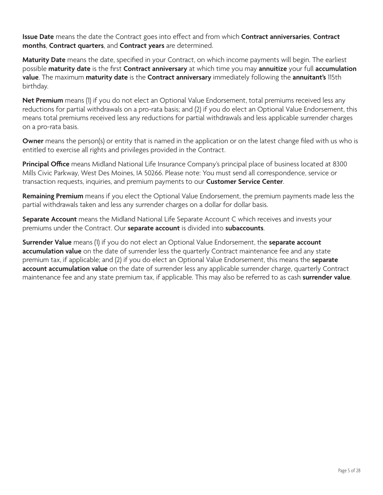**Issue Date** means the date the Contract goes into effect and from which **Contract anniversaries**, **Contract months**, **Contract quarters**, and **Contract years** are determined.

**Maturity Date** means the date, specified in your Contract, on which income payments will begin. The earliest possible **maturity date** is the first **Contract anniversary** at which time you may **annuitize** your full **accumulation value**. The maximum **maturity date** is the **Contract anniversary** immediately following the **annuitant's** 115th birthday.

**Net Premium** means (1) if you do not elect an Optional Value Endorsement, total premiums received less any reductions for partial withdrawals on a pro-rata basis; and (2) if you do elect an Optional Value Endorsement, this means total premiums received less any reductions for partial withdrawals and less applicable surrender charges on a pro-rata basis.

**Owner** means the person(s) or entity that is named in the application or on the latest change filed with us who is entitled to exercise all rights and privileges provided in the Contract.

**Principal Office** means Midland National Life Insurance Company's principal place of business located at 8300 Mills Civic Parkway, West Des Moines, IA 50266. Please note: You must send all correspondence, service or transaction requests, inquiries, and premium payments to our **Customer Service Center**.

**Remaining Premium** means if you elect the Optional Value Endorsement, the premium payments made less the partial withdrawals taken and less any surrender charges on a dollar for dollar basis.

**Separate Account** means the Midland National Life Separate Account C which receives and invests your premiums under the Contract. Our **separate account** is divided into **subaccounts**.

**Surrender Value** means (1) if you do not elect an Optional Value Endorsement, the **separate account accumulation value** on the date of surrender less the quarterly Contract maintenance fee and any state premium tax, if applicable; and (2) if you do elect an Optional Value Endorsement, this means the **separate account accumulation value** on the date of surrender less any applicable surrender charge, quarterly Contract maintenance fee and any state premium tax, if applicable. This may also be referred to as cash **surrender value**.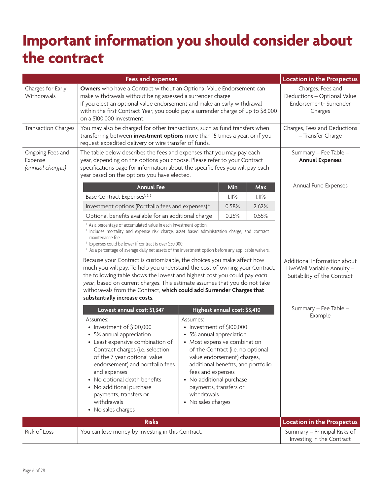### **Important information you should consider about the contract**

| <b>Fees and expenses</b>                        |                                                                                                                                                                                                                                                                                                                                                                                                                                                                                                                                                                                                                                                                                                                                                                                                                                     |                                                                                                                                                                                                                                                                                                                             | Location in the Prospectus   |                                                                                            |                                                           |
|-------------------------------------------------|-------------------------------------------------------------------------------------------------------------------------------------------------------------------------------------------------------------------------------------------------------------------------------------------------------------------------------------------------------------------------------------------------------------------------------------------------------------------------------------------------------------------------------------------------------------------------------------------------------------------------------------------------------------------------------------------------------------------------------------------------------------------------------------------------------------------------------------|-----------------------------------------------------------------------------------------------------------------------------------------------------------------------------------------------------------------------------------------------------------------------------------------------------------------------------|------------------------------|--------------------------------------------------------------------------------------------|-----------------------------------------------------------|
| Charges for Early<br>Withdrawals                | Owners who have a Contract without an Optional Value Endorsement can<br>make withdrawals without being assessed a surrender charge.<br>If you elect an optional value endorsement and make an early withdrawal<br>within the first Contract Year, you could pay a surrender charge of up to \$8,000<br>on a \$100,000 investment.                                                                                                                                                                                                                                                                                                                                                                                                                                                                                                   |                                                                                                                                                                                                                                                                                                                             |                              | Charges, Fees and<br>Deductions - Optional Value<br>Endorsement-Surrender<br>Charges       |                                                           |
| <b>Transaction Charges</b>                      | You may also be charged for other transactions, such as fund transfers when<br>transferring between investment options more than 15 times a year, or if you<br>request expedited delivery or wire transfer of funds.                                                                                                                                                                                                                                                                                                                                                                                                                                                                                                                                                                                                                |                                                                                                                                                                                                                                                                                                                             |                              | Charges, Fees and Deductions<br>- Transfer Charge                                          |                                                           |
| Ongoing Fees and<br>Expense<br>(annual charges) | The table below describes the fees and expenses that you may pay each<br>year, depending on the options you choose. Please refer to your Contract<br>specifications page for information about the specific fees you will pay each<br>year based on the options you have elected.                                                                                                                                                                                                                                                                                                                                                                                                                                                                                                                                                   |                                                                                                                                                                                                                                                                                                                             |                              | Summary - Fee Table -<br><b>Annual Expenses</b>                                            |                                                           |
|                                                 | <b>Annual Fee</b>                                                                                                                                                                                                                                                                                                                                                                                                                                                                                                                                                                                                                                                                                                                                                                                                                   |                                                                                                                                                                                                                                                                                                                             | Min                          | Max                                                                                        | Annual Fund Expenses                                      |
|                                                 | Base Contract Expenses <sup>1, 2, 3</sup>                                                                                                                                                                                                                                                                                                                                                                                                                                                                                                                                                                                                                                                                                                                                                                                           |                                                                                                                                                                                                                                                                                                                             | 1.11%                        | 1.11%                                                                                      |                                                           |
|                                                 | Investment options (Portfolio fees and expenses) <sup>4</sup>                                                                                                                                                                                                                                                                                                                                                                                                                                                                                                                                                                                                                                                                                                                                                                       |                                                                                                                                                                                                                                                                                                                             | 0.58%                        | 2.62%                                                                                      |                                                           |
|                                                 | Optional benefits available for an additional charge                                                                                                                                                                                                                                                                                                                                                                                                                                                                                                                                                                                                                                                                                                                                                                                |                                                                                                                                                                                                                                                                                                                             | 0.25%                        | 0.55%                                                                                      |                                                           |
|                                                 | <sup>1</sup> As a percentage of accumulated value in each investment option.<br><sup>2</sup> Includes mortality and expense risk charge, asset based administration charge, and contract<br>maintenance fee.<br><sup>3</sup> Expenses could be lower if contract is over \$50,000.<br><sup>4</sup> As a percentage of average daily net assets of the investment option before any applicable waivers.<br>Because your Contract is customizable, the choices you make affect how<br>much you will pay. To help you understand the cost of owning your Contract,<br>the following table shows the lowest and highest cost you could pay each<br>year, based on current charges. This estimate assumes that you do not take<br>withdrawals from the Contract, which could add Surrender Charges that<br>substantially increase costs. |                                                                                                                                                                                                                                                                                                                             |                              | Additional Information about<br>LiveWell Variable Annuity -<br>Suitability of the Contract |                                                           |
|                                                 | Lowest annual cost: \$1,347<br>Assumes:<br>• Investment of \$100,000<br>• 5% annual appreciation<br>• Least expensive combination of<br>Contract charges (i.e. selection<br>of the 7 year optional value<br>endorsement) and portfolio fees<br>and expenses<br>• No optional death benefits<br>• No additional purchase<br>payments, transfers or<br>withdrawals<br>• No sales charges                                                                                                                                                                                                                                                                                                                                                                                                                                              | Assumes:<br>• Investment of \$100,000<br>• 5% annual appreciation<br>• Most expensive combination<br>of the Contract (i.e. no optional<br>value endorsement) charges,<br>additional benefits, and portfolio<br>fees and expenses<br>• No additional purchase<br>payments, transfers or<br>withdrawals<br>• No sales charges | Highest annual cost: \$3,410 |                                                                                            | Summary - Fee Table -<br>Example                          |
|                                                 | <b>Risks</b>                                                                                                                                                                                                                                                                                                                                                                                                                                                                                                                                                                                                                                                                                                                                                                                                                        |                                                                                                                                                                                                                                                                                                                             |                              |                                                                                            | Location in the Prospectus                                |
| Risk of Loss                                    | You can lose money by investing in this Contract.                                                                                                                                                                                                                                                                                                                                                                                                                                                                                                                                                                                                                                                                                                                                                                                   |                                                                                                                                                                                                                                                                                                                             |                              |                                                                                            | Summary - Principal Risks of<br>Investing in the Contract |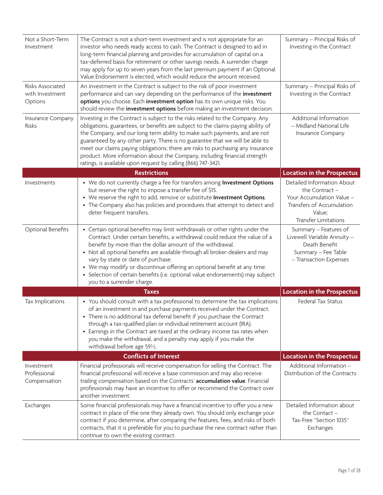| Not a Short-Term<br>Investment                 | The Contract is not a short-term investment and is not appropriate for an<br>investor who needs ready access to cash. The Contract is designed to aid in<br>long-term financial planning and provides for accumulation of capital on a<br>tax-deferred basis for retirement or other savings needs. A surrender charge<br>may apply for up to seven years from the last premium payment if an Optional<br>Value Endorsement is elected, which would reduce the amount received.                                                                                 | Summary - Principal Risks of<br>Investing in the Contract                                                                                       |
|------------------------------------------------|-----------------------------------------------------------------------------------------------------------------------------------------------------------------------------------------------------------------------------------------------------------------------------------------------------------------------------------------------------------------------------------------------------------------------------------------------------------------------------------------------------------------------------------------------------------------|-------------------------------------------------------------------------------------------------------------------------------------------------|
| Risks Associated<br>with Investment<br>Options | An investment in the Contract is subject to the risk of poor investment<br>performance and can vary depending on the performance of the <i>investment</i><br>options you choose. Each investment option has its own unique risks. You<br>should review the <i>investment</i> options before making an investment decision.                                                                                                                                                                                                                                      | Summary - Principal Risks of<br>Investing in the Contract                                                                                       |
| Insurance Company<br>Risks                     | Investing in the Contract is subject to the risks related to the Company. Any<br>obligations, guarantees, or benefits are subject to the claims-paying ability of<br>the Company, and our long term ability to make such payments, and are not<br>guaranteed by any other party. There is no guarantee that we will be able to<br>meet our claims paying obligations; there are risks to purchasing any insurance<br>product. More information about the Company, including financial strength<br>ratings, is available upon request by calling (866) 747-3421. | Additional Information<br>- Midland National Life<br>Insurance Company                                                                          |
|                                                | <b>Restrictions</b>                                                                                                                                                                                                                                                                                                                                                                                                                                                                                                                                             | <b>Location in the Prospectus</b>                                                                                                               |
| Investments                                    | • We do not currently charge a fee for transfers among Investment Options<br>but reserve the right to impose a transfer fee of \$15.<br>• We reserve the right to add, remove or substitute Investment Options.<br>• The Company also has policies and procedures that attempt to detect and<br>deter frequent transfers.                                                                                                                                                                                                                                       | Detailed Information About<br>the Contract -<br>Your Accumulation Value -<br>Transfers of Accumulation<br>Value;<br><b>Transfer Limitations</b> |
| Optional Benefits                              | • Certain optional benefits may limit withdrawals or other rights under the<br>Contract. Under certain benefits, a withdrawal could reduce the value of a<br>benefit by more than the dollar amount of the withdrawal.<br>• Not all optional benefits are available through all broker-dealers and may<br>vary by state or date of purchase.<br>• We may modify or discontinue offering an optional benefit at any time.<br>• Selection of certain benefits (i.e. optional value endorsements) may subject<br>you to a surrender charge.                        | Summary - Features of<br>Livewell Variable Annuity -<br>Death Benefit<br>Summary - Fee Table<br>- Transaction Expenses                          |
|                                                | <b>Taxes</b>                                                                                                                                                                                                                                                                                                                                                                                                                                                                                                                                                    | <b>Location in the Prospectus</b>                                                                                                               |
| Tax Implications                               | • You should consult with a tax professional to determine the tax implications<br>of an investment in and purchase payments received under the Contract.<br>• There is no additional tax deferral benefit if you purchase the Contract<br>through a tax-qualified plan or individual retirement account (IRA).<br>• Earnings in the Contract are taxed at the ordinary income tax rates when<br>you make the withdrawal, and a penalty may apply if you make the<br>withdrawal before age 591⁄2.                                                                | Federal Tax Status                                                                                                                              |
|                                                | <b>Conflicts of Interest</b>                                                                                                                                                                                                                                                                                                                                                                                                                                                                                                                                    | Location in the Prospectus                                                                                                                      |
| Investment<br>Professional<br>Compensation     | Financial professionals will receive compensation for selling the Contract. The<br>financial professional will receive a base commission and may also receive<br>trailing compensation based on the Contracts' accumulation value. Financial<br>professionals may have an incentive to offer or recommend the Contract over<br>another investment.                                                                                                                                                                                                              | Additional Information -<br>Distribution of the Contracts                                                                                       |
| Exchanges                                      | Some financial professionals may have a financial incentive to offer you a new<br>contract in place of the one they already own. You should only exchange your<br>contract if you determine, after comparing the features, fees, and risks of both<br>contracts, that it is preferable for you to purchase the new contract rather than<br>continue to own the existing contract.                                                                                                                                                                               | Detailed Information about<br>the Contact $-$<br>Tax-Free "Section 1035"<br>Exchanges                                                           |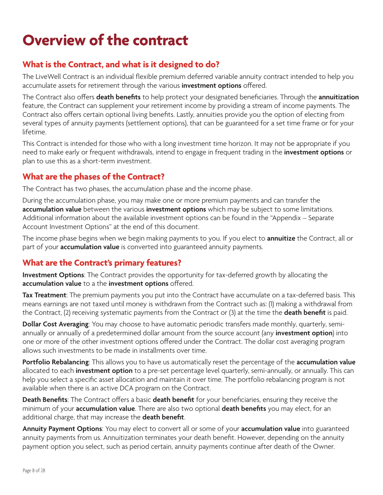### **Overview of the contract**

#### **What is the Contract, and what is it designed to do?**

The LiveWell Contract is an individual flexible premium deferred variable annuity contract intended to help you accumulate assets for retirement through the various **investment options** offered.

The Contract also offers **death benefits** to help protect your designated beneficiaries. Through the **annuitization** feature, the Contract can supplement your retirement income by providing a stream of income payments. The Contract also offers certain optional living benefits. Lastly, annuities provide you the option of electing from several types of annuity payments (settlement options), that can be guaranteed for a set time frame or for your lifetime.

This Contract is intended for those who with a long investment time horizon. It may not be appropriate if you need to make early or frequent withdrawals, intend to engage in frequent trading in the **investment options** or plan to use this as a short-term investment.

#### **What are the phases of the Contract?**

The Contract has two phases, the accumulation phase and the income phase.

During the accumulation phase, you may make one or more premium payments and can transfer the **accumulation value** between the various **investment options** which may be subject to some limitations. Additional information about the available investment options can be found in the "Appendix – Separate Account Investment Options" at the end of this document.

The income phase begins when we begin making payments to you. If you elect to **annuitize** the Contract, all or part of your **accumulation value** is converted into guaranteed annuity payments.

#### **What are the Contract's primary features?**

**Investment Options**: The Contract provides the opportunity for tax-deferred growth by allocating the **accumulation value** to a the **investment options** offered.

**Tax Treatment**: The premium payments you put into the Contract have accumulate on a tax-deferred basis. This means earnings are not taxed until money is withdrawn from the Contract such as: (1) making a withdrawal from the Contract, (2) receiving systematic payments from the Contract or (3) at the time the **death benefit** is paid.

**Dollar Cost Averaging**: You may choose to have automatic periodic transfers made monthly, quarterly, semiannually or annually of a predetermined dollar amount from the source account (any **investment option**) into one or more of the other investment options offered under the Contract. The dollar cost averaging program allows such investments to be made in installments over time.

**Portfolio Rebalancing**: This allows you to have us automatically reset the percentage of the **accumulation value** allocated to each **investment option** to a pre-set percentage level quarterly, semi-annually, or annually. This can help you select a specific asset allocation and maintain it over time. The portfolio rebalancing program is not available when there is an active DCA program on the Contract.

**Death Benefits**: The Contract offers a basic **death benefit** for your beneficiaries, ensuring they receive the minimum of your **accumulation value**. There are also two optional **death benefits** you may elect, for an additional charge, that may increase the **death benefit**.

**Annuity Payment Options**: You may elect to convert all or some of your **accumulation value** into guaranteed annuity payments from us. Annuitization terminates your death benefit. However, depending on the annuity payment option you select, such as period certain, annuity payments continue after death of the Owner.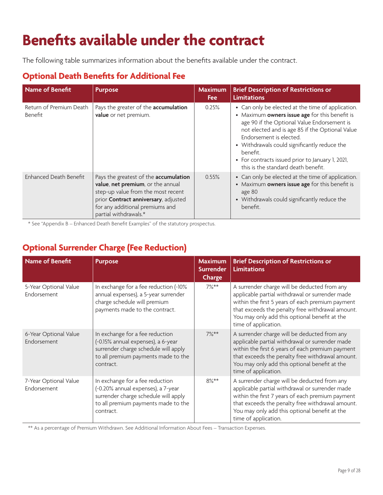### **Benefits available under the contract**

The following table summarizes information about the benefits available under the contract.

#### **Optional Death Benefits for Additional Fee**

| Name of Benefit                    | <b>Purpose</b>                                                                                                                                                                                                       | <b>Maximum</b><br>Fee | <b>Brief Description of Restrictions or</b><br><b>Limitations</b>                                                                                                                                                                                                                                                                                                                       |
|------------------------------------|----------------------------------------------------------------------------------------------------------------------------------------------------------------------------------------------------------------------|-----------------------|-----------------------------------------------------------------------------------------------------------------------------------------------------------------------------------------------------------------------------------------------------------------------------------------------------------------------------------------------------------------------------------------|
| Return of Premium Death<br>Benefit | Pays the greater of the accumulation<br>value or net premium.                                                                                                                                                        | 0.25%                 | • Can only be elected at the time of application.<br>• Maximum owners issue age for this benefit is<br>age 90 if the Optional Value Endorsement is<br>not elected and is age 85 if the Optional Value<br>Endorsement is elected.<br>• Withdrawals could significantly reduce the<br>benefit.<br>• For contracts issued prior to January 1, 2021,<br>this is the standard death benefit. |
| Enhanced Death Benefit             | Pays the greatest of the accumulation<br>value, net premium, or the annual<br>step-up value from the most recent<br>prior Contract anniversary, adjusted<br>for any additional premiums and<br>partial withdrawals.* | 0.55%                 | • Can only be elected at the time of application.<br>• Maximum owners issue age for this benefit is<br>age 80<br>• Withdrawals could significantly reduce the<br>benefit.                                                                                                                                                                                                               |

\* See "Appendix B – Enhanced Death Benefit Examples" of the statutory prospectus.

#### **Optional Surrender Charge (Fee Reduction)**

| <b>Name of Benefit</b>               | <b>Purpose</b>                                                                                                                                                    | <b>Maximum</b><br><b>Surrender</b><br><b>Charge</b> | <b>Brief Description of Restrictions or</b><br><b>Limitations</b>                                                                                                                                                                                                                |
|--------------------------------------|-------------------------------------------------------------------------------------------------------------------------------------------------------------------|-----------------------------------------------------|----------------------------------------------------------------------------------------------------------------------------------------------------------------------------------------------------------------------------------------------------------------------------------|
| 5-Year Optional Value<br>Endorsement | In exchange for a fee reduction (-10%<br>annual expenses), a 5-year surrender<br>charge schedule will premium<br>payments made to the contract.                   | $7\%**$                                             | A surrender charge will be deducted from any<br>applicable partial withdrawal or surrender made<br>within the first 5 years of each premium payment<br>that exceeds the penalty free withdrawal amount.<br>You may only add this optional benefit at the<br>time of application. |
| 6-Year Optional Value<br>Endorsement | In exchange for a fee reduction<br>(-0.15% annual expenses), a 6-year<br>surrender charge schedule will apply<br>to all premium payments made to the<br>contract. | $7\%**$                                             | A surrender charge will be deducted from any<br>applicable partial withdrawal or surrender made<br>within the first 6 years of each premium payment<br>that exceeds the penalty free withdrawal amount.<br>You may only add this optional benefit at the<br>time of application. |
| 7-Year Optional Value<br>Endorsement | In exchange for a fee reduction<br>(-0.20% annual expenses), a 7-year<br>surrender charge schedule will apply<br>to all premium payments made to the<br>contract. | $8\%**$                                             | A surrender charge will be deducted from any<br>applicable partial withdrawal or surrender made<br>within the first 7 years of each premium payment<br>that exceeds the penalty free withdrawal amount.<br>You may only add this optional benefit at the<br>time of application. |

\*\* As a percentage of Premium Withdrawn. See Additional Information About Fees – Transaction Expenses.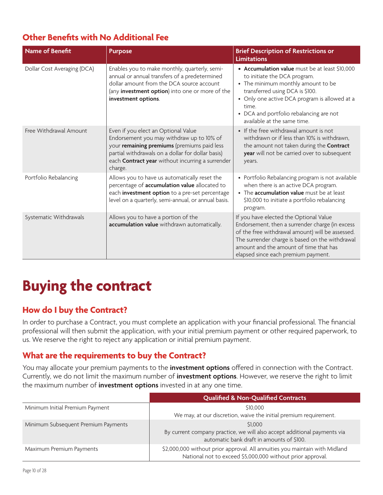#### **Other Benefits with No Additional Fee**

| <b>Name of Benefit</b>      | <b>Purpose</b>                                                                                                                                                                                                                                             | <b>Brief Description of Restrictions or</b><br><b>Limitations</b>                                                                                                                                                                                                                           |
|-----------------------------|------------------------------------------------------------------------------------------------------------------------------------------------------------------------------------------------------------------------------------------------------------|---------------------------------------------------------------------------------------------------------------------------------------------------------------------------------------------------------------------------------------------------------------------------------------------|
| Dollar Cost Averaging (DCA) | Enables you to make monthly, quarterly, semi-<br>annual or annual transfers of a predetermined<br>dollar amount from the DCA source account<br>(any investment option) into one or more of the<br>investment options.                                      | • Accumulation value must be at least \$10,000<br>to initiate the DCA program.<br>• The minimum monthly amount to be<br>transferred using DCA is \$100.<br>• Only one active DCA program is allowed at a<br>time.<br>• DCA and portfolio rebalancing are not<br>available at the same time. |
| Free Withdrawal Amount      | Even if you elect an Optional Value<br>Endorsement you may withdraw up to 10% of<br>your remaining premiums (premiums paid less<br>partial withdrawals on a dollar for dollar basis)<br>each <b>Contract year</b> without incurring a surrender<br>charge. | • If the free withdrawal amount is not<br>withdrawn or if less than 10% is withdrawn,<br>the amount not taken during the Contract<br>year will not be carried over to subsequent<br>years.                                                                                                  |
| Portfolio Rebalancing       | Allows you to have us automatically reset the<br>percentage of <b>accumulation value</b> allocated to<br>each investment option to a pre-set percentage<br>level on a quarterly, semi-annual, or annual basis.                                             | • Portfolio Rebalancing program is not available<br>when there is an active DCA program.<br>• The accumulation value must be at least<br>\$10,000 to initiate a portfolio rebalancing<br>program.                                                                                           |
| Systematic Withdrawals      | Allows you to have a portion of the<br>accumulation value withdrawn automatically.                                                                                                                                                                         | If you have elected the Optional Value<br>Endorsement, then a surrender charge (in excess<br>of the free withdrawal amount) will be assessed.<br>The surrender charge is based on the withdrawal<br>amount and the amount of time that has<br>elapsed since each premium payment.           |

## **Buying the contract**

#### **How do I buy the Contract?**

In order to purchase a Contract, you must complete an application with your financial professional. The financial professional will then submit the application, with your initial premium payment or other required paperwork, to us. We reserve the right to reject any application or initial premium payment.

#### **What are the requirements to buy the Contract?**

You may allocate your premium payments to the **investment options** offered in connection with the Contract. Currently, we do not limit the maximum number of **investment options**. However, we reserve the right to limit the maximum number of **investment options** invested in at any one time.

|                                     | <b>Qualified &amp; Non-Qualified Contracts</b>                                                                                            |
|-------------------------------------|-------------------------------------------------------------------------------------------------------------------------------------------|
| Minimum Initial Premium Payment     | \$10,000<br>We may, at our discretion, waive the initial premium requirement.                                                             |
| Minimum Subsequent Premium Payments | \$1,000<br>By current company practice, we will also accept additional payments via<br>automatic bank draft in amounts of \$100.          |
| Maximum Premium Payments            | \$2,000,000 without prior approval. All annuities you maintain with Midland<br>National not to exceed \$5,000,000 without prior approval. |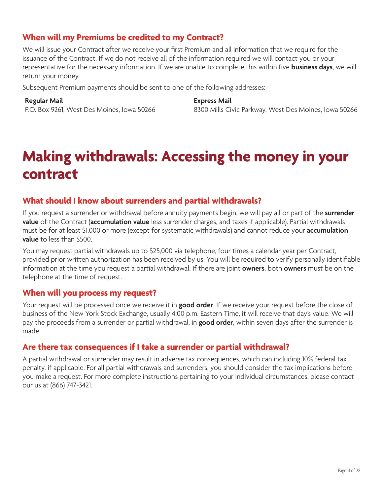#### **When will my Premiums be credited to my Contract?**

We will issue your Contract after we receive your first Premium and all information that we require for the issuance of the Contract. If we do not receive all of the information required we will contact you or your representative for the necessary information. If we are unable to complete this within five **business days**, we will return your money.

Subsequent Premium payments should be sent to one of the following addresses:

#### **Regular Mail**

P.O. Box 9261, West Des Moines, Iowa 50266

**Express Mail** 8300 Mills Civic Parkway, West Des Moines, Iowa 50266

### **Making withdrawals: Accessing the money in your contract**

#### **What should I know about surrenders and partial withdrawals?**

If you request a surrender or withdrawal before annuity payments begin, we will pay all or part of the **surrender value** of the Contract (**accumulation value** less surrender charges, and taxes if applicable). Partial withdrawals must be for at least \$1,000 or more (except for systematic withdrawals) and cannot reduce your **accumulation value** to less than \$500.

You may request partial withdrawals up to \$25,000 via telephone, four times a calendar year per Contract, provided prior written authorization has been received by us. You will be required to verify personally identifiable information at the time you request a partial withdrawal. If there are joint **owners**, both **owners** must be on the telephone at the time of request.

#### **When will you process my request?**

Your request will be processed once we receive it in **good order**. If we receive your request before the close of business of the New York Stock Exchange, usually 4:00 p.m. Eastern Time, it will receive that day's value. We will pay the proceeds from a surrender or partial withdrawal, in **good order**, within seven days after the surrender is made.

#### **Are there tax consequences if I take a surrender or partial withdrawal?**

A partial withdrawal or surrender may result in adverse tax consequences, which can including 10% federal tax penalty, if applicable. For all partial withdrawals and surrenders, you should consider the tax implications before you make a request. For more complete instructions pertaining to your individual circumstances, please contact our us at (866) 747-3421.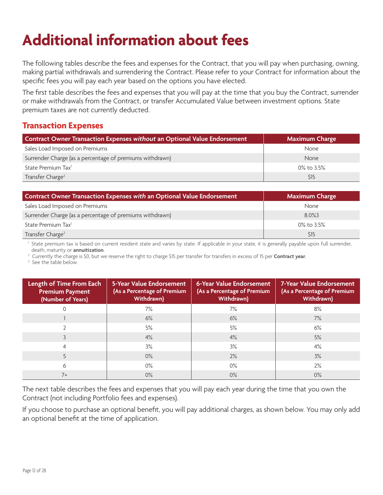# **Additional information about fees**

The following tables describe the fees and expenses for the Contract, that you will pay when purchasing, owning, making partial withdrawals and surrendering the Contract. Please refer to your Contract for information about the specific fees you will pay each year based on the options you have elected.

The first table describes the fees and expenses that you will pay at the time that you buy the Contract, surrender or make withdrawals from the Contract, or transfer Accumulated Value between investment options. State premium taxes are not currently deducted.

#### **Transaction Expenses**

| Contract Owner Transaction Expenses without an Optional Value Endorsement | <b>Maximum Charge</b> |
|---------------------------------------------------------------------------|-----------------------|
| Sales Load Imposed on Premiums                                            | None                  |
| Surrender Charge (as a percentage of premiums withdrawn)                  | <b>None</b>           |
| State Premium Tax <sup>1</sup>                                            | 0% to 3.5%            |
| Transfer Charge <sup>2</sup>                                              | \$15                  |

| Contract Owner Transaction Expenses with an Optional Value Endorsement | <b>Maximum Charge</b> |
|------------------------------------------------------------------------|-----------------------|
| Sales Load Imposed on Premiums                                         | <b>None</b>           |
| Surrender Charge (as a percentage of premiums withdrawn)               | 8.0%3                 |
| State Premium Tax <sup>1</sup>                                         | 0% to 3.5%            |
| Transfer Charge <sup>2</sup>                                           | \$15                  |

<sup>1</sup> State premium tax is based on current resident state and varies by state. If applicable in your state, it is generally payable upon full surrender, death, maturity or **annuitization**.

2 Currently the charge is \$0, but we reserve the right to charge \$15 per transfer for transfers in excess of 15 per **Contract year**.

<sup>3</sup> See the table below.

| Length of Time From Each<br><b>Premium Payment</b><br>(Number of Years) | 5-Year Value Endorsement<br>(As a Percentage of Premium<br>Withdrawn) | 6-Year Value Endorsement<br>(As a Percentage of Premium<br>Withdrawn) | 7-Year Value Endorsement<br>(As a Percentage of Premium<br>Withdrawn) |
|-------------------------------------------------------------------------|-----------------------------------------------------------------------|-----------------------------------------------------------------------|-----------------------------------------------------------------------|
|                                                                         | 7%                                                                    | 7%                                                                    | 8%                                                                    |
|                                                                         | 6%                                                                    | 6%                                                                    | 7%                                                                    |
|                                                                         | 5%                                                                    | 5%                                                                    | 6%                                                                    |
|                                                                         | 4%                                                                    | 4%                                                                    | 5%                                                                    |
| 4                                                                       | 3%                                                                    | 3%                                                                    | 4%                                                                    |
| 5                                                                       | $0\%$                                                                 | 2%                                                                    | 3%                                                                    |
| 6                                                                       | $0\%$                                                                 | $0\%$                                                                 | 2%                                                                    |
| $7+$                                                                    | $0\%$                                                                 | $0\%$                                                                 | $0\%$                                                                 |

The next table describes the fees and expenses that you will pay each year during the time that you own the Contract (not including Portfolio fees and expenses).

If you choose to purchase an optional benefit, you will pay additional charges, as shown below. You may only add an optional benefit at the time of application.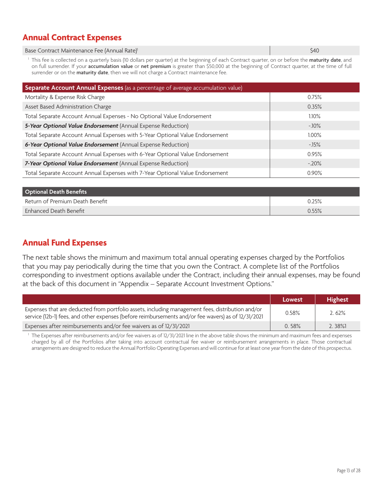#### **Annual Contract Expenses**

Base Contract Maintenance Fee (Annual Rate)<sup>1</sup> \$40<sup>o</sup> dia 40.5 Ani amin'ny soratra 2008–2014. Ilay kaominina dia 40.

1 This fee is collected on a quarterly basis (10 dollars per quarter) at the beginning of each Contract quarter, on or before the **maturity date**, and on full surrender. If your **accumulation value** or **net premium** is greater than \$50,000 at the beginning of Contract quarter, at the time of full surrender or on the **maturity date**, then we will not charge a Contract maintenance fee.

| Separate Account Annual Expenses (as a percentage of average accumulation value) |          |  |  |
|----------------------------------------------------------------------------------|----------|--|--|
| Mortality & Expense Risk Charge                                                  | 0.75%    |  |  |
| Asset Based Administration Charge                                                | 0.35%    |  |  |
| Total Separate Account Annual Expenses - No Optional Value Endorsement           | $1.10\%$ |  |  |
| 5-Year Optional Value Endorsement (Annual Expense Reduction)                     | $-10\%$  |  |  |
| Total Separate Account Annual Expenses with 5-Year Optional Value Endorsement    | $1.00\%$ |  |  |
| 6-Year Optional Value Endorsement (Annual Expense Reduction)                     | $-15%$   |  |  |
| Total Separate Account Annual Expenses with 6-Year Optional Value Endorsement    | 0.95%    |  |  |
| 7-Year Optional Value Endorsement (Annual Expense Reduction)                     | $-20\%$  |  |  |
| Total Separate Account Annual Expenses with 7-Year Optional Value Endorsement    | 0.90%    |  |  |

| <b>Optional Death Benefits</b>  |          |
|---------------------------------|----------|
| Return of Premium Death Benefit | 0.25%    |
| Enhanced Death Benefit          | $0.55\%$ |

#### **Annual Fund Expenses**

The next table shows the minimum and maximum total annual operating expenses charged by the Portfolios that you may pay periodically during the time that you own the Contract. A complete list of the Portfolios corresponding to investment options available under the Contract, including their annual expenses, may be found at the back of this document in "Appendix – Separate Account Investment Options."

|                                                                                                                                                                                                         | Lowest | <b>Highest</b> |
|---------------------------------------------------------------------------------------------------------------------------------------------------------------------------------------------------------|--------|----------------|
| Expenses that are deducted from portfolio assets, including management fees, distribution and/or<br>service (12b-1) fees, and other expenses (before reimbursements and/or fee wavers) as of 12/31/2021 | 0.58%  | 2.62%          |
| Expenses after reimbursements and/or fee waivers as of 12/31/2021                                                                                                                                       | 0.58%  | $2.38\%$       |

1 The Expenses after reimbursements and/or fee waivers as of 12/31/2021 line in the above table shows the minimum and maximum fees and expenses charged by all of the Portfolios after taking into account contractual fee waiver or reimbursement arrangements in place. Those contractual arrangements are designed to reduce the Annual Portfolio Operating Expenses and will continue for at least one year from the date of this prospectus.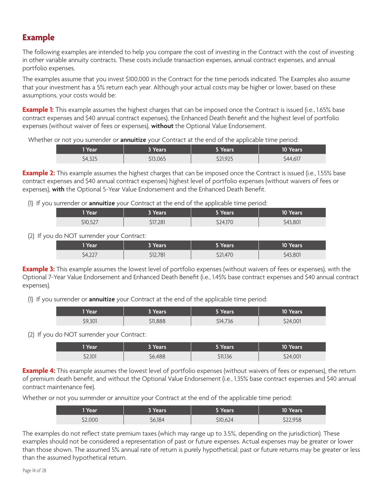#### **Example**

The following examples are intended to help you compare the cost of investing in the Contract with the cost of investing in other variable annuity contracts. These costs include transaction expenses, annual contract expenses, and annual portfolio expenses.

The examples assume that you invest \$100,000 in the Contract for the time periods indicated. The Examples also assume that your investment has a 5% return each year. Although your actual costs may be higher or lower, based on these assumptions, your costs would be:

**Example 1:** This example assumes the highest charges that can be imposed once the Contract is issued (i.e., 1.65% base contract expenses and \$40 annual contract expenses), the Enhanced Death Benefit and the highest level of portfolio expenses (without waiver of fees or expenses), **without** the Optional Value Endorsement.

Whether or not you surrender or **annuitize** your Contract at the end of the applicable time period:

| 1 Year  | 3 Years  | 5 Years  | 10 Years' |
|---------|----------|----------|-----------|
| \$4,325 | \$13,065 | \$21,925 | \$44,617  |

**Example 2:** This example assumes the highest charges that can be imposed once the Contract is issued (i.e., 1.55% base contract expenses and \$40 annual contract expenses) highest level of portfolio expenses (without waivers of fees or expenses), **with** the Optional 5-Year Value Endorsement and the Enhanced Death Benefit.

(1) If you surrender or **annuitize** your Contract at the end of the applicable time period:

| <sup>1</sup> Year | 3 Years' | 5 Years  | 10 Years |
|-------------------|----------|----------|----------|
| \$10,527          | \$17,281 | \$24,170 | \$43,801 |

(2) If you do NOT surrender your Contract:

| 1 Year  | 3 Years. | Years    | <b>10 Years</b> |
|---------|----------|----------|-----------------|
| \$4,227 | \$12,781 | \$21,470 | \$43,801        |

**Example 3:** This example assumes the lowest level of portfolio expenses (without waivers of fees or expenses), with the Optional 7-Year Value Endorsement and Enhanced Death Benefit (i.e., 1.45% base contract expenses and \$40 annual contract expenses).

(1) If you surrender or **annuitize** your Contract at the end of the applicable time period:

| 1 Year  | 3 Years  | Years    | 10 Years' |
|---------|----------|----------|-----------|
| \$9,301 | \$11,888 | \$14,736 | \$24,001  |

(2) If you do NOT surrender your Contract:

| 1 Year  | 3 Years i | 5 Years  | 10 Years |
|---------|-----------|----------|----------|
| \$2.101 | 56,488    | \$11,136 | \$24,001 |

**Example 4:** This example assumes the lowest level of portfolio expenses (without waivers of fees or expenses), the return of premium death benefit, and without the Optional Value Endorsement (i.e., 1.35% base contract expenses and \$40 annual contract maintenance fee).

Whether or not you surrender or annuitize your Contract at the end of the applicable time period:

| <b>TYear</b> | 3 Years | 5 Years  | 10 Years |
|--------------|---------|----------|----------|
| \$2,000      | \$6,184 | \$10,624 | \$22,958 |

The examples do not reflect state premium taxes (which may range up to 3.5%, depending on the jurisdiction). These examples should not be considered a representation of past or future expenses. Actual expenses may be greater or lower than those shown. The assumed 5% annual rate of return is purely hypothetical; past or future returns may be greater or less than the assumed hypothetical return.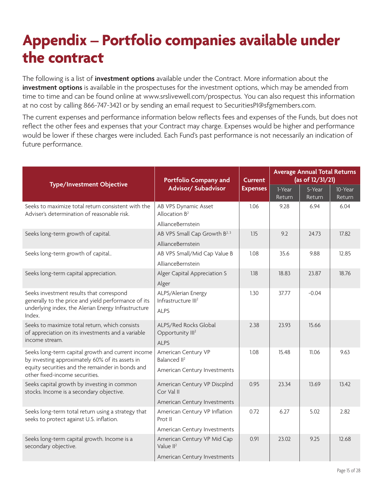### **Appendix – Portfolio companies available under the contract**

The following is a list of **investment options** available under the Contract. More information about the **investment options** is available in the prospectuses for the investment options, which may be amended from time to time and can be found online at www.srslivewell.com/prospectus. You can also request this information at no cost by calling 866-747-3421 or by sending an email request to SecuritiesPI@sfgmembers.com.

The current expenses and performance information below reflects fees and expenses of the Funds, but does not reflect the other fees and expenses that your Contract may charge. Expenses would be higher and performance would be lower if these charges were included. Each Fund's past performance is not necessarily an indication of future performance.

| <b>Type/Investment Objective</b>                                                                                                                                 | <b>Portfolio Company and</b>                                          | <b>Current</b>  | <b>Average Annual Total Returns</b><br>(as of 12/31/21) |                  |                   |
|------------------------------------------------------------------------------------------------------------------------------------------------------------------|-----------------------------------------------------------------------|-----------------|---------------------------------------------------------|------------------|-------------------|
|                                                                                                                                                                  | Advisor/ Subadvisor                                                   | <b>Expenses</b> | 1-Year<br>Return                                        | 5-Year<br>Return | 10-Year<br>Return |
| Seeks to maximize total return consistent with the<br>Adviser's determination of reasonable risk.                                                                | AB VPS Dynamic Asset<br>Allocation $B^2$                              | 1.06            | 9.28                                                    | 6.94             | 6.04              |
|                                                                                                                                                                  | AllianceBernstein                                                     |                 |                                                         |                  |                   |
| Seeks long-term growth of capital.                                                                                                                               | AB VPS Small Cap Growth B <sup>2, 3</sup>                             | 1.15            | 9.2                                                     | 24.73            | 17.82             |
|                                                                                                                                                                  | AllianceBernstein                                                     |                 |                                                         |                  |                   |
| Seeks long-term growth of capital                                                                                                                                | AB VPS Small/Mid Cap Value B                                          | 1.08            | 35.6                                                    | 9.88             | 12.85             |
|                                                                                                                                                                  | AllianceBernstein                                                     |                 |                                                         |                  |                   |
| Seeks long-term capital appreciation.                                                                                                                            | Alger Capital Appreciation S                                          | 1.18            | 18.83                                                   | 23.87            | 18.76             |
|                                                                                                                                                                  | Alger                                                                 |                 |                                                         |                  |                   |
| Seeks investment results that correspond<br>generally to the price and yield performance of its<br>underlying index, the Alerian Energy Infrastructure<br>Index. | ALPS/Alerian Energy<br>Infrastructure III <sup>2</sup><br><b>ALPS</b> | 1.30            | 37.77                                                   | $-0.04$          |                   |
| Seeks to maximize total return, which consists<br>of appreciation on its investments and a variable<br>income stream.                                            | ALPS/Red Rocks Global<br>Opportunity III <sup>2</sup><br><b>ALPS</b>  | 2.38            | 23.93                                                   | 15.66            |                   |
| Seeks long-term capital growth and current income<br>by investing approximately 60% of its assets in                                                             | American Century VP<br>Balanced II <sup>2</sup>                       | 1.08            | 15.48                                                   | 11.06            | 9.63              |
| equity securities and the remainder in bonds and<br>other fixed-income securities.                                                                               | American Century Investments                                          |                 |                                                         |                  |                   |
| Seeks capital growth by investing in common<br>stocks. Income is a secondary objective.                                                                          | American Century VP Discplnd<br>Cor Val II                            | 0.95            | 23.34                                                   | 13.69            | 13.42             |
|                                                                                                                                                                  | American Century Investments                                          |                 |                                                         |                  |                   |
| Seeks long-term total return using a strategy that<br>seeks to protect against U.S. inflation.                                                                   | American Century VP Inflation<br>Prot II                              | 0.72            | 6.27                                                    | 5.02             | 2.82              |
|                                                                                                                                                                  | American Century Investments                                          |                 |                                                         |                  |                   |
| Seeks long-term capital growth. Income is a<br>secondary objective.                                                                                              | American Century VP Mid Cap<br>Value $II^2$                           | 0.91            | 23.02                                                   | 9.25             | 12.68             |
|                                                                                                                                                                  | American Century Investments                                          |                 |                                                         |                  |                   |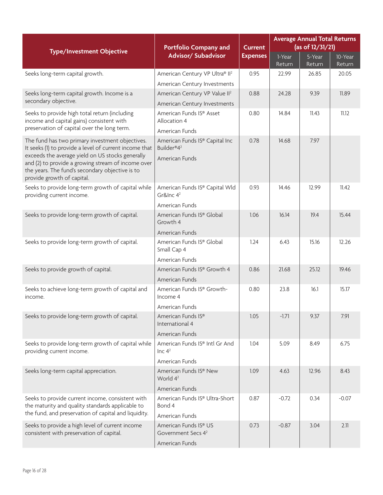| <b>Type/Investment Objective</b>                                                                                                                              | <b>Portfolio Company and</b>                                               | <b>Current</b>  | <b>Average Annual Total Returns</b><br>(as of 12/31/21) |                  |                   |  |
|---------------------------------------------------------------------------------------------------------------------------------------------------------------|----------------------------------------------------------------------------|-----------------|---------------------------------------------------------|------------------|-------------------|--|
|                                                                                                                                                               | Advisor/ Subadvisor                                                        | <b>Expenses</b> | 1-Year<br>Return                                        | 5-Year<br>Return | 10-Year<br>Return |  |
| Seeks long-term capital growth.                                                                                                                               | American Century VP Ultra® II <sup>2</sup>                                 | 0.95            | 22.99                                                   | 26.85            | 20.05             |  |
|                                                                                                                                                               | American Century Investments                                               |                 |                                                         |                  |                   |  |
| Seeks long-term capital growth. Income is a                                                                                                                   | American Century VP Value II <sup>2</sup>                                  | 0.88            | 24.28                                                   | 9.39             | 11.89             |  |
| secondary objective.                                                                                                                                          | American Century Investments                                               |                 |                                                         |                  |                   |  |
| Seeks to provide high total return (including<br>income and capital gains) consistent with<br>preservation of capital over the long term.                     | American Funds IS® Asset<br>Allocation 4                                   | 0.80            | 14.84                                                   | 11.43            | 11.12             |  |
|                                                                                                                                                               | American Funds                                                             |                 |                                                         |                  |                   |  |
| The fund has two primary investment objectives.<br>It seeks (1) to provide a level of current income that<br>exceeds the average yield on US stocks generally | American Funds IS® Capital Inc<br>Builder®4 <sup>2</sup><br>American Funds | 0.78            | 14.68                                                   | 7.97             |                   |  |
| and (2) to provide a growing stream of income over<br>the years. The fund's secondary objective is to<br>provide growth of capital.                           |                                                                            |                 |                                                         |                  |                   |  |
| Seeks to provide long-term growth of capital while<br>providing current income.                                                                               | American Funds IS® Capital Wld<br>Gr&Inc $4^2$                             | 0.93            | 14.46                                                   | 12.99            | 11.42             |  |
|                                                                                                                                                               | American Funds                                                             |                 |                                                         |                  |                   |  |
| Seeks to provide long-term growth of capital.                                                                                                                 | American Funds IS® Global<br>Growth 4                                      | 1.06            | 16.14                                                   | 19.4             | 15.44             |  |
|                                                                                                                                                               | American Funds                                                             |                 |                                                         |                  |                   |  |
| Seeks to provide long-term growth of capital.                                                                                                                 | American Funds IS® Global<br>Small Cap 4                                   | 1.24            | 6.43                                                    | 15.16            | 12.26             |  |
|                                                                                                                                                               | American Funds                                                             |                 |                                                         |                  |                   |  |
| Seeks to provide growth of capital.                                                                                                                           | American Funds IS® Growth 4                                                | 0.86            | 21.68                                                   | 25.12            | 19.46             |  |
|                                                                                                                                                               | American Funds                                                             |                 |                                                         |                  |                   |  |
| Seeks to achieve long-term growth of capital and<br>income.                                                                                                   | American Funds IS® Growth-<br>Income 4                                     | 0.80            | 23.8                                                    | 16.1             | 15.17             |  |
|                                                                                                                                                               | American Funds                                                             |                 |                                                         |                  |                   |  |
| Seeks to provide long-term growth of capital.                                                                                                                 | American Funds IS®<br>International 4                                      | 1.05            | $-1.71$                                                 | 9.37             | 7.91              |  |
|                                                                                                                                                               | American Funds                                                             |                 |                                                         |                  |                   |  |
| Seeks to provide long-term growth of capital while<br>providing current income.                                                                               | American Funds IS® Intl Gr And<br>Inc $4^2$                                | 1.04            | 5.09                                                    | 8.49             | 6.75              |  |
|                                                                                                                                                               | American Funds                                                             |                 |                                                         |                  |                   |  |
| Seeks long-term capital appreciation.                                                                                                                         | American Funds IS® New<br>World 4 <sup>2</sup>                             | 1.09            | 4.63                                                    | 12.96            | 8.43              |  |
|                                                                                                                                                               | American Funds                                                             |                 |                                                         |                  |                   |  |
| Seeks to provide current income, consistent with<br>the maturity and quality standards applicable to                                                          | American Funds IS® Ultra-Short<br>Bond 4                                   | 0.87            | $-0.72$                                                 | 0.34             | $-0.07$           |  |
| the fund, and preservation of capital and liquidity.                                                                                                          | American Funds                                                             |                 |                                                         |                  |                   |  |
| Seeks to provide a high level of current income<br>consistent with preservation of capital.                                                                   | American Funds IS® US<br>Government Secs 4 <sup>2</sup>                    | 0.73            | $-0.87$                                                 | 3.04             | 2.11              |  |
|                                                                                                                                                               | American Funds                                                             |                 |                                                         |                  |                   |  |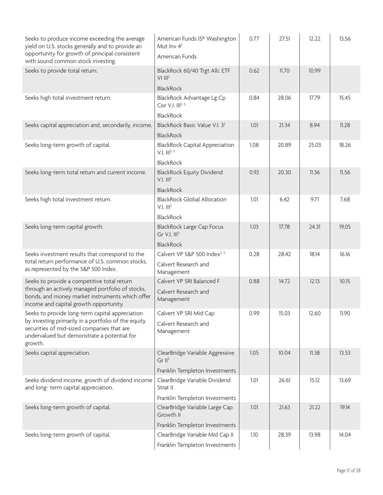| Seeks to produce income exceeding the average<br>yield on U.S. stocks generally and to provide an<br>opportunity for growth of principal consistent<br>with sound common stock investing.                      | American Funds IS® Washington<br>Mut Inv $4^2$<br>American Funds                        | 0.77 | 27.51 | 12.22 | 13.56 |
|----------------------------------------------------------------------------------------------------------------------------------------------------------------------------------------------------------------|-----------------------------------------------------------------------------------------|------|-------|-------|-------|
| Seeks to provide total return.                                                                                                                                                                                 | BlackRock 60/40 Trgt Allc ETF<br>$V1$ $III2$<br><b>BlackRock</b>                        | 0.62 | 11.70 | 10.99 |       |
| Seeks high total investment return.                                                                                                                                                                            | BlackRock Advantage Lg Cp<br>Cor V.I. III <sup>2, 3</sup><br><b>BlackRock</b>           | 0.84 | 28.06 | 17.79 | 15.45 |
| Seeks capital appreciation and, secondarily, income.                                                                                                                                                           | BlackRock Basic Value V.I. 3 <sup>2</sup><br><b>BlackRock</b>                           | 1.01 | 21.34 | 8.94  | 11.28 |
| Seeks long-term growth of capital.                                                                                                                                                                             | <b>BlackRock Capital Appreciation</b><br>$V.I.$ $III^{2,3}$<br><b>BlackRock</b>         | 1.08 | 20.89 | 25.03 | 18.26 |
| Seeks long-term total return and current income.                                                                                                                                                               | <b>BlackRock Equity Dividend</b><br>$V.I.$ $III2$<br><b>BlackRock</b>                   | 0.92 | 20.30 | 11.36 | 11.56 |
| Seeks high total investment return.                                                                                                                                                                            | <b>BlackRock Global Allocation</b><br>$V.I.$ $III2$<br><b>BlackRock</b>                 | 1.01 | 6.42  | 9.71  | 7.68  |
| Seeks long-term capital growth.                                                                                                                                                                                | <b>BlackRock Large Cap Focus</b><br>Gr V.I. III <sup>2</sup><br><b>BlackRock</b>        | 1.03 | 17.78 | 24.31 | 19.05 |
| Seeks investment results that correspond to the<br>total return performance of U.S. common stocks,<br>as represented by the S&P 500 Index.                                                                     | Calvert VP S&P 500 Index <sup>2, 3</sup><br>Calvert Research and<br>Management          | 0.28 | 28.42 | 18.14 | 16.16 |
| Seeks to provide a competitive total return<br>through an actively managed portfolio of stocks,<br>bonds, and money market instruments which offer<br>income and capital growth opportunity.                   | Calvert VP SRI Balanced F<br>Calvert Research and<br>Management                         | 0.88 | 14.72 | 12.13 | 10.15 |
| Seeks to provide long-term capital appreciation<br>by investing primarily in a portfolio of the equity<br>securities of mid-sized companies that are<br>undervalued but demonstrate a potential for<br>growth. | Calvert VP SRI Mid Cap<br>Calvert Research and<br>Management                            | 0.99 | 15.03 | 12.60 | 11.90 |
| Seeks capital appreciation.                                                                                                                                                                                    | ClearBridge Variable Aggressive<br>Gr II <sup>3</sup><br>Franklin Templeton Investments | 1.05 | 10.04 | 11.38 | 13.53 |
| Seeks dividend income, growth of dividend income<br>and long-term capital appreciation.                                                                                                                        | ClearBridge Variable Dividend<br>Strat II<br>Franklin Templeton Investments             | 1.01 | 26.61 | 15.12 | 13.69 |
| Seeks long-term growth of capital.                                                                                                                                                                             | ClearBridge Variable Large Cap<br>Growth II<br>Franklin Templeton Investments           | 1.01 | 21.63 | 21.22 | 19.14 |
| Seeks long-term growth of capital.                                                                                                                                                                             | ClearBridge Variable Mid Cap II<br>Franklin Templeton Investments                       | 1.10 | 28.39 | 13.98 | 14.04 |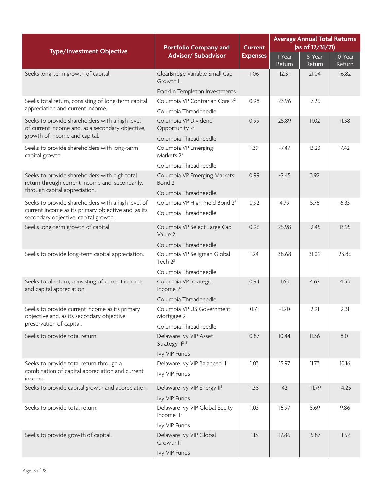| <b>Type/Investment Objective</b>                                                                      | <b>Portfolio Company and</b>                               | <b>Current</b>  | <b>Average Annual Total Returns</b><br>(as of 12/31/21) |                  |                   |  |
|-------------------------------------------------------------------------------------------------------|------------------------------------------------------------|-----------------|---------------------------------------------------------|------------------|-------------------|--|
|                                                                                                       | <b>Advisor/ Subadvisor</b>                                 | <b>Expenses</b> | 1-Year<br>Return                                        | 5-Year<br>Return | 10-Year<br>Return |  |
| Seeks long-term growth of capital.                                                                    | ClearBridge Variable Small Cap<br>Growth II                | 1.06            | 12.31                                                   | 21.04            | 16.82             |  |
|                                                                                                       | Franklin Templeton Investments                             |                 |                                                         |                  |                   |  |
| Seeks total return, consisting of long-term capital                                                   | Columbia VP Contrarian Core 2 <sup>2</sup>                 | 0.98            | 23.96                                                   | 17.26            |                   |  |
| appreciation and current income.                                                                      | Columbia Threadneedle                                      |                 |                                                         |                  |                   |  |
| Seeks to provide shareholders with a high level<br>of current income and, as a secondary objective,   | Columbia VP Dividend<br>Opportunity 2 <sup>2</sup>         | 0.99            | 25.89                                                   | 11.02            | 11.38             |  |
| growth of income and capital.                                                                         | Columbia Threadneedle                                      |                 |                                                         |                  |                   |  |
| Seeks to provide shareholders with long-term<br>capital growth.                                       | Columbia VP Emerging<br>Markets 2 <sup>2</sup>             | 1.39            | $-7.47$                                                 | 13.23            | 7.42              |  |
|                                                                                                       | Columbia Threadneedle                                      |                 |                                                         |                  |                   |  |
| Seeks to provide shareholders with high total<br>return through current income and, secondarily,      | Columbia VP Emerging Markets<br>Bond 2                     | 0.99            | $-2.45$                                                 | 3.92             |                   |  |
| through capital appreciation.                                                                         | Columbia Threadneedle                                      |                 |                                                         |                  |                   |  |
| Seeks to provide shareholders with a high level of                                                    | Columbia VP High Yield Bond 2 <sup>2</sup>                 | 0.92            | 4.79                                                    | 5.76             | 6.33              |  |
| current income as its primary objective and, as its<br>secondary objective, capital growth.           | Columbia Threadneedle                                      |                 |                                                         |                  |                   |  |
| Seeks long-term growth of capital.                                                                    | Columbia VP Select Large Cap<br>Value 2                    | 0.96            | 25.98                                                   | 12.45            | 13.95             |  |
|                                                                                                       | Columbia Threadneedle                                      |                 |                                                         |                  |                   |  |
| Seeks to provide long-term capital appreciation.                                                      | Columbia VP Seligman Global<br>Tech $22$                   | 1.24            | 38.68                                                   | 31.09            | 23.86             |  |
|                                                                                                       | Columbia Threadneedle                                      |                 |                                                         |                  |                   |  |
| Seeks total return, consisting of current income<br>and capital appreciation.                         | Columbia VP Strategic<br>Income $2^2$                      | 0.94            | 1.63                                                    | 4.67             | 4.53              |  |
|                                                                                                       | Columbia Threadneedle                                      |                 |                                                         |                  |                   |  |
| Seeks to provide current income as its primary<br>objective and, as its secondary objective,          | Columbia VP US Government<br>Mortgage 2                    | 0.71            | $-1.20$                                                 | 2.91             | 2.31              |  |
| preservation of capital.                                                                              | Columbia Threadneedle                                      |                 |                                                         |                  |                   |  |
| Seeks to provide total return.                                                                        | Delaware Ivy VIP Asset<br>Strategy II <sup>2, 3</sup>      | 0.87            | 10.44                                                   | 11.36            | 8.01              |  |
|                                                                                                       | Ivy VIP Funds                                              |                 |                                                         |                  |                   |  |
| Seeks to provide total return through a<br>combination of capital appreciation and current<br>income. | Delaware Ivy VIP Balanced II <sup>3</sup><br>Ivy VIP Funds | 1.03            | 15.97                                                   | 11.73            | 10.16             |  |
| Seeks to provide capital growth and appreciation.                                                     | Delaware Ivy VIP Energy II <sup>3</sup>                    | 1.38            | 42                                                      | $-11.79$         | $-4.25$           |  |
|                                                                                                       | Ivy VIP Funds                                              |                 |                                                         |                  |                   |  |
| Seeks to provide total return.                                                                        | Delaware Ivy VIP Global Equity<br>Income $II3$             | 1.03            | 16.97                                                   | 8.69             | 9.86              |  |
|                                                                                                       | Ivy VIP Funds                                              |                 |                                                         |                  |                   |  |
| Seeks to provide growth of capital.                                                                   | Delaware Ivy VIP Global<br>Growth II <sup>3</sup>          | 1.13            | 17.86                                                   | 15.87            | 11.52             |  |
|                                                                                                       | Ivy VIP Funds                                              |                 |                                                         |                  |                   |  |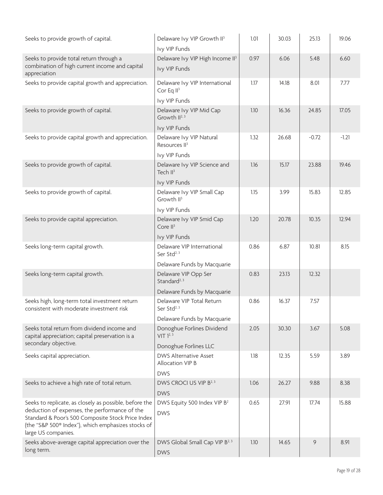| Seeks to provide growth of capital.                                                                                                                                                                                                       | Delaware Ivy VIP Growth II <sup>3</sup><br>Ivy VIP Funds                               | 1.01 | 30.03 | 25.13   | 19.06   |
|-------------------------------------------------------------------------------------------------------------------------------------------------------------------------------------------------------------------------------------------|----------------------------------------------------------------------------------------|------|-------|---------|---------|
| Seeks to provide total return through a<br>combination of high current income and capital<br>appreciation                                                                                                                                 | Delaware Ivy VIP High Income II <sup>3</sup><br>Ivy VIP Funds                          | 0.97 | 6.06  | 5.48    | 6.60    |
| Seeks to provide capital growth and appreciation.                                                                                                                                                                                         | Delaware Ivy VIP International<br>Cor Eq $II3$<br>Ivy VIP Funds                        | 1.17 | 14.18 | 8.01    | 7.77    |
| Seeks to provide growth of capital.                                                                                                                                                                                                       | Delaware Ivy VIP Mid Cap<br>Growth II <sup>2, 3</sup><br>Ivy VIP Funds                 | 1.10 | 16.36 | 24.85   | 17.05   |
| Seeks to provide capital growth and appreciation.                                                                                                                                                                                         | Delaware Ivy VIP Natural<br>Resources II <sup>3</sup><br>Ivy VIP Funds                 | 1.32 | 26.68 | $-0.72$ | $-1.21$ |
| Seeks to provide growth of capital.                                                                                                                                                                                                       | Delaware Ivy VIP Science and<br>Tech II <sup>3</sup>                                   | 1.16 | 15.17 | 23.88   | 19.46   |
| Seeks to provide growth of capital.                                                                                                                                                                                                       | Ivy VIP Funds<br>Delaware Ivy VIP Small Cap<br>Growth II <sup>3</sup><br>Ivy VIP Funds | 1.15 | 3.99  | 15.83   | 12.85   |
| Seeks to provide capital appreciation.                                                                                                                                                                                                    | Delaware Ivy VIP Smid Cap<br>Core $II^3$<br>Ivy VIP Funds                              | 1.20 | 20.78 | 10.35   | 12.94   |
| Seeks long-term capital growth.                                                                                                                                                                                                           | Delaware VIP International<br>Ser Std <sup>2, 3</sup><br>Delaware Funds by Macquarie   | 0.86 | 6.87  | 10.81   | 8.15    |
| Seeks long-term capital growth.                                                                                                                                                                                                           | Delaware VIP Opp Ser<br>Standard <sup>2, 3</sup><br>Delaware Funds by Macquarie        | 0.83 | 23.13 | 12.32   |         |
| Seeks high, long-term total investment return<br>consistent with moderate investment risk                                                                                                                                                 | Delaware VIP Total Return<br>Ser Std <sup>2, 3</sup><br>Delaware Funds by Macquarie    | 0.86 | 16.37 | 7.57    |         |
| Seeks total return from dividend income and<br>capital appreciation; capital preservation is a<br>secondary objective.                                                                                                                    | Donoghue Forlines Dividend<br>VIT 1 <sup>2, 3</sup><br>Donoghue Forlines LLC           | 2.05 | 30.30 | 3.67    | 5.08    |
| Seeks capital appreciation.                                                                                                                                                                                                               | DWS Alternative Asset<br>Allocation VIP B<br><b>DWS</b>                                | 1.18 | 12.35 | 5.59    | 3.89    |
| Seeks to achieve a high rate of total return.                                                                                                                                                                                             | DWS CROCI US VIP B <sup>2, 3</sup><br><b>DWS</b>                                       | 1.06 | 26.27 | 9.88    | 8.38    |
| Seeks to replicate, as closely as possible, before the<br>deduction of expenses, the performance of the<br>Standard & Poor's 500 Composite Stock Price Index<br>(the "S&P 500® Index"), which emphasizes stocks of<br>large US companies. | DWS Equity 500 Index VIP B <sup>2</sup><br><b>DWS</b>                                  | 0.65 | 27.91 | 17.74   | 15.88   |
| Seeks above-average capital appreciation over the<br>long term.                                                                                                                                                                           | DWS Global Small Cap VIP B <sup>2, 3</sup><br><b>DWS</b>                               | 1.10 | 14.65 | 9       | 8.91    |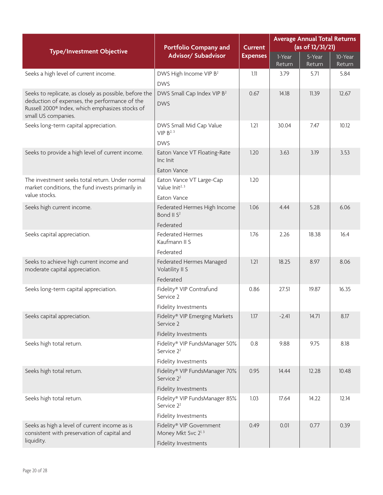|                                                                                                                                                                                               | <b>Portfolio Company and</b>                                                            | <b>Current</b>  | <b>Average Annual Total Returns</b><br>(as of 12/31/21) |                  |                   |  |
|-----------------------------------------------------------------------------------------------------------------------------------------------------------------------------------------------|-----------------------------------------------------------------------------------------|-----------------|---------------------------------------------------------|------------------|-------------------|--|
| <b>Type/Investment Objective</b>                                                                                                                                                              | Advisor/ Subadvisor                                                                     | <b>Expenses</b> | 1-Year<br>Return                                        | 5-Year<br>Return | 10-Year<br>Return |  |
| Seeks a high level of current income.                                                                                                                                                         | DWS High Income VIP B <sup>2</sup><br><b>DWS</b>                                        | 1.11            | 3.79                                                    | 5.71             | 5.84              |  |
| Seeks to replicate, as closely as possible, before the<br>deduction of expenses, the performance of the<br>Russell 2000 <sup>®</sup> Index, which emphasizes stocks of<br>small US companies. | DWS Small Cap Index VIP B <sup>2</sup><br><b>DWS</b>                                    | 0.67            | 14.18                                                   | 11.39            | 12.67             |  |
| Seeks long-term capital appreciation.                                                                                                                                                         | DWS Small Mid Cap Value<br>VIP B <sup>2, 3</sup><br><b>DWS</b>                          | 1.21            | 30.04                                                   | 7.47             | 10.12             |  |
| Seeks to provide a high level of current income.                                                                                                                                              | Eaton Vance VT Floating-Rate<br>Inc Init<br>Eaton Vance                                 | 1.20            | 3.63                                                    | 3.19             | 3.53              |  |
| The investment seeks total return. Under normal<br>market conditions, the fund invests primarily in<br>value stocks.                                                                          | Eaton Vance VT Large-Cap<br>Value Init <sup>2, 3</sup><br>Eaton Vance                   | 1.20            |                                                         |                  |                   |  |
| Seeks high current income.                                                                                                                                                                    | Federated Hermes High Income<br>Bond II S <sup>2</sup><br>Federated                     | 1.06            | 4.44                                                    | 5.28             | 6.06              |  |
| Seeks capital appreciation.                                                                                                                                                                   | <b>Federated Hermes</b><br>Kaufmann II S<br>Federated                                   | 1.76            | 2.26                                                    | 18.38            | 16.4              |  |
| Seeks to achieve high current income and<br>moderate capital appreciation.                                                                                                                    | Federated Hermes Managed<br>Volatility II S<br>Federated                                | 1.21            | 18.25                                                   | 8.97             | 8.06              |  |
| Seeks long-term capital appreciation.                                                                                                                                                         | Fidelity® VIP Contrafund<br>Service 2<br>Fidelity Investments                           | 0.86            | 27.51                                                   | 19.87            | 16.35             |  |
| Seeks capital appreciation.                                                                                                                                                                   | Fidelity® VIP Emerging Markets<br>Service 2<br>Fidelity Investments                     | 1.17            | $-2.41$                                                 | 14.71            | 8.17              |  |
| Seeks high total return.                                                                                                                                                                      | Fidelity® VIP FundsManager 50%<br>Service 2 <sup>2</sup><br>Fidelity Investments        | 0.8             | 9.88                                                    | 9.75             | 8.18              |  |
| Seeks high total return.                                                                                                                                                                      | Fidelity® VIP FundsManager 70%<br>Service 2 <sup>2</sup><br><b>Fidelity Investments</b> | 0.95            | 14.44                                                   | 12.28            | 10.48             |  |
| Seeks high total return.                                                                                                                                                                      | Fidelity® VIP FundsManager 85%<br>Service 2 <sup>2</sup><br>Fidelity Investments        | 1.03            | 17.64                                                   | 14.22            | 12.14             |  |
| Seeks as high a level of current income as is<br>consistent with preservation of capital and<br>liquidity.                                                                                    | Fidelity® VIP Government<br>Money Mkt Svc 2 <sup>1, 3</sup><br>Fidelity Investments     | 0.49            | 0.01                                                    | 0.77             | 0.39              |  |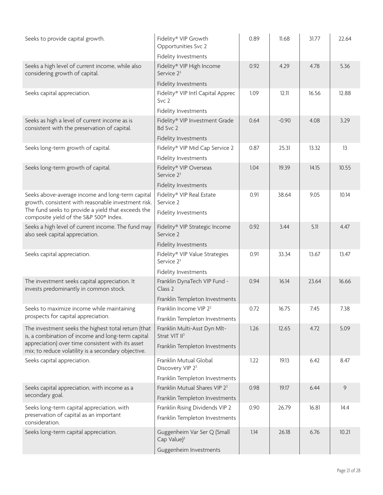| Seeks to provide capital growth.                                                                         | Fidelity® VIP Growth<br>Opportunities Svc 2                                 | 0.89 | 11.68   | 31.77 | 22.64 |
|----------------------------------------------------------------------------------------------------------|-----------------------------------------------------------------------------|------|---------|-------|-------|
| Seeks a high level of current income, while also<br>considering growth of capital.                       | Fidelity Investments<br>Fidelity® VIP High Income<br>Service 2 <sup>3</sup> | 0.92 | 4.29    | 4.78  | 5.36  |
|                                                                                                          | Fidelity Investments                                                        |      |         |       |       |
| Seeks capital appreciation.                                                                              | Fidelity® VIP Intl Capital Apprec<br>Svc <sub>2</sub>                       | 1.09 | 12.11   | 16.56 | 12.88 |
|                                                                                                          | Fidelity Investments                                                        |      |         |       |       |
| Seeks as high a level of current income as is<br>consistent with the preservation of capital.            | Fidelity® VIP Investment Grade<br>Bd Svc 2                                  | 0.64 | $-0.90$ | 4.08  | 3.29  |
|                                                                                                          | Fidelity Investments                                                        |      |         |       |       |
| Seeks long-term growth of capital.                                                                       | Fidelity® VIP Mid Cap Service 2<br>Fidelity Investments                     | 0.87 | 25.31   | 13.32 | 13    |
| Seeks long-term growth of capital.                                                                       | Fidelity® VIP Overseas<br>Service 2 <sup>3</sup>                            | 1.04 | 19.39   | 14.15 | 10.55 |
|                                                                                                          | Fidelity Investments                                                        |      |         |       |       |
| Seeks above-average income and long-term capital<br>growth, consistent with reasonable investment risk.  | Fidelity® VIP Real Estate<br>Service 2                                      | 0.91 | 38.64   | 9.05  | 10.14 |
| The fund seeks to provide a yield that exceeds the<br>composite yield of the S&P 500 <sup>®</sup> Index. | Fidelity Investments                                                        |      |         |       |       |
| Seeks a high level of current income. The fund may<br>also seek capital appreciation.                    | Fidelity® VIP Strategic Income<br>Service 2                                 | 0.92 | 3.44    | 5.11  | 4.47  |
|                                                                                                          | Fidelity Investments                                                        |      |         |       |       |
| Seeks capital appreciation.                                                                              | Fidelity® VIP Value Strategies<br>Service 2 <sup>3</sup>                    | 0.91 | 33.34   | 13.67 | 13.47 |
|                                                                                                          | Fidelity Investments                                                        |      |         |       |       |
| The investment seeks capital appreciation. It<br>invests predominantly in common stock.                  | Franklin DynaTech VIP Fund -<br>Class 2                                     | 0.94 | 16.14   | 23.64 | 16.66 |
|                                                                                                          | Franklin Templeton Investments                                              |      |         |       |       |
| Seeks to maximize income while maintaining                                                               | Franklin Income VIP 2 <sup>2</sup>                                          | 0.72 | 16.75   | 7.45  | 7.38  |
| prospects for capital appreciation.                                                                      | Franklin Templeton Investments                                              |      |         |       |       |
| The investment seeks the highest total return (that<br>is, a combination of income and long-term capital | Franklin Multi-Asst Dyn Mlt-<br>Strat VIT II <sup>3</sup>                   | 1.26 | 12.65   | 4.72  | 5.09  |
| appreciation) over time consistent with its asset<br>mix; to reduce volatility is a secondary objective. | Franklin Templeton Investments                                              |      |         |       |       |
| Seeks capital appreciation.                                                                              | Franklin Mutual Global<br>Discovery VIP 2 <sup>3</sup>                      | 1.22 | 19.13   | 6.42  | 8.47  |
|                                                                                                          | Franklin Templeton Investments                                              |      |         |       |       |
| Seeks capital appreciation, with income as a                                                             | Franklin Mutual Shares VIP 2 <sup>3</sup>                                   | 0.98 | 19.17   | 6.44  | 9     |
| secondary goal.                                                                                          | Franklin Templeton Investments                                              |      |         |       |       |
| Seeks long-term capital appreciation, with                                                               | Franklin Rising Dividends VIP 2                                             | 0.90 | 26.79   | 16.81 | 14.4  |
| preservation of capital as an important<br>consideration.                                                | Franklin Templeton Investments                                              |      |         |       |       |
| Seeks long-term capital appreciation.                                                                    | Guggenheim Var Ser Q (Small<br>Cap Value) <sup>2</sup>                      | 1.14 | 26.18   | 6.76  | 10.21 |
|                                                                                                          | Guggenheim Investments                                                      |      |         |       |       |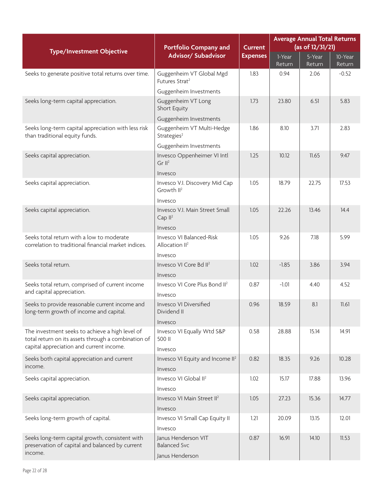| <b>Portfolio Company and</b>                                                                                  |                                                          | <b>Current</b>  | <b>Average Annual Total Returns</b><br>(as of 12/31/21) |                |                   |  |
|---------------------------------------------------------------------------------------------------------------|----------------------------------------------------------|-----------------|---------------------------------------------------------|----------------|-------------------|--|
| <b>Type/Investment Objective</b>                                                                              | <b>Advisor/ Subadvisor</b>                               | <b>Expenses</b> | 1-Year                                                  | 5-Year         | 10-Year           |  |
| Seeks to generate positive total returns over time.                                                           | Guggenheim VT Global Mgd                                 | 1.83            | Return<br>0.94                                          | Return<br>2.06 | Return<br>$-0.52$ |  |
|                                                                                                               | Futures Strat <sup>2</sup>                               |                 |                                                         |                |                   |  |
|                                                                                                               | Guggenheim Investments                                   |                 |                                                         |                |                   |  |
| Seeks long-term capital appreciation.                                                                         | Guggenheim VT Long<br>Short Equity                       | 1.73            | 23.80                                                   | 6.51           | 5.83              |  |
|                                                                                                               | Guggenheim Investments                                   |                 |                                                         |                |                   |  |
| Seeks long-term capital appreciation with less risk<br>than traditional equity funds.                         | Guggenheim VT Multi-Hedge<br>Strategies <sup>2</sup>     | 1.86            | 8.10                                                    | 3.71           | 2.83              |  |
|                                                                                                               | Guggenheim Investments                                   |                 |                                                         |                |                   |  |
| Seeks capital appreciation.                                                                                   | Invesco Oppenheimer VI Intl<br>Gr II <sup>2</sup>        | 1.25            | 10.12                                                   | 11.65          | 9.47              |  |
|                                                                                                               | Invesco                                                  |                 |                                                         |                |                   |  |
| Seeks capital appreciation.                                                                                   | Invesco V.I. Discovery Mid Cap<br>Growth II <sup>2</sup> | 1.05            | 18.79                                                   | 22.75          | 17.53             |  |
|                                                                                                               | Invesco                                                  |                 |                                                         |                |                   |  |
| Seeks capital appreciation.                                                                                   | Invesco V.I. Main Street Small<br>Cap $II^2$             | 1.05            | 22.26                                                   | 13.46          | 14.4              |  |
|                                                                                                               | Invesco                                                  |                 |                                                         |                |                   |  |
| Seeks total return with a low to moderate<br>correlation to traditional financial market indices.             | Invesco VI Balanced-Risk<br>Allocation II <sup>2</sup>   | 1.05            | 9.26                                                    | 7.18           | 5.99              |  |
|                                                                                                               | Invesco                                                  |                 |                                                         |                |                   |  |
| Seeks total return.                                                                                           | Invesco VI Core Bd II <sup>2</sup>                       | 1.02            | $-1.85$                                                 | 3.86           | 3.94              |  |
|                                                                                                               | Invesco                                                  |                 |                                                         |                |                   |  |
| Seeks total return, comprised of current income<br>and capital appreciation.                                  | Invesco VI Core Plus Bond II <sup>2</sup><br>Invesco     | 0.87            | $-1.01$                                                 | 4.40           | 4.52              |  |
| Seeks to provide reasonable current income and<br>long-term growth of income and capital.                     | Invesco VI Diversified<br>Dividend II                    | 0.96            | 18.59                                                   | 8.1            | 11.61             |  |
| The investment seeks to achieve a high level of                                                               | Invesco<br>Invesco VI Equally Wtd S&P                    | 0.58            | 28.88                                                   | 15.14          | 14.91             |  |
| total return on its assets through a combination of<br>capital appreciation and current income.               | 500 II<br>Invesco                                        |                 |                                                         |                |                   |  |
| Seeks both capital appreciation and current                                                                   | Invesco VI Equity and Income II <sup>2</sup>             | 0.82            | 18.35                                                   | 9.26           | 10.28             |  |
| income.                                                                                                       | Invesco                                                  |                 |                                                         |                |                   |  |
| Seeks capital appreciation.                                                                                   | Invesco VI Global II <sup>2</sup><br>Invesco             | 1.02            | 15.17                                                   | 17.88          | 13.96             |  |
| Seeks capital appreciation.                                                                                   | Invesco VI Main Street II <sup>2</sup>                   | 1.05            | 27.23                                                   | 15.36          | 14.77             |  |
|                                                                                                               | Invesco                                                  |                 |                                                         |                |                   |  |
| Seeks long-term growth of capital.                                                                            | Invesco VI Small Cap Equity II                           | 1.21            | 20.09                                                   | 13.15          | 12.01             |  |
|                                                                                                               | Invesco                                                  |                 |                                                         |                |                   |  |
| Seeks long-term capital growth, consistent with<br>preservation of capital and balanced by current<br>income. | Janus Henderson VIT<br><b>Balanced Svc</b>               | 0.87            | 16.91                                                   | 14.10          | 11.53             |  |
|                                                                                                               | Janus Henderson                                          |                 |                                                         |                |                   |  |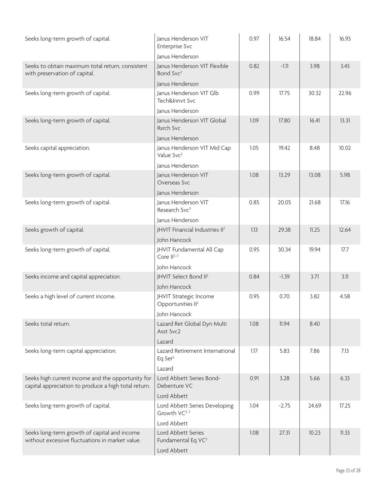| Seeks long-term growth of capital.                                                                        | Janus Henderson VIT<br><b>Enterprise Svc</b>               | 0.97 | 16.54   | 18.84 | 16.93 |
|-----------------------------------------------------------------------------------------------------------|------------------------------------------------------------|------|---------|-------|-------|
|                                                                                                           | Janus Henderson                                            |      |         |       |       |
| Seeks to obtain maximum total return, consistent<br>with preservation of capital.                         | Janus Henderson VIT Flexible<br>Bond Svc <sup>2</sup>      | 0.82 | $-1.11$ | 3.98  | 3.43  |
|                                                                                                           | Janus Henderson                                            |      |         |       |       |
| Seeks long-term growth of capital.                                                                        | Janus Henderson VIT Glb<br>Tech&Innvt Svc                  | 0.99 | 17.75   | 30.32 | 22.96 |
|                                                                                                           | Janus Henderson                                            |      |         |       |       |
| Seeks long-term growth of capital.                                                                        | Janus Henderson VIT Global<br>Rsrch Svc                    | 1.09 | 17.80   | 16.41 | 13.31 |
|                                                                                                           | Janus Henderson                                            |      |         |       |       |
| Seeks capital appreciation.                                                                               | Janus Henderson VIT Mid Cap<br>Value Svc <sup>2</sup>      | 1.05 | 19.42   | 8.48  | 10.02 |
|                                                                                                           | Janus Henderson                                            |      |         |       |       |
| Seeks long-term growth of capital.                                                                        | Janus Henderson VIT<br>Overseas Svc                        | 1.08 | 13.29   | 13.08 | 5.98  |
|                                                                                                           | Janus Henderson                                            |      |         |       |       |
| Seeks long-term growth of capital.                                                                        | Janus Henderson VIT<br>Research Svc <sup>3</sup>           | 0.85 | 20.05   | 21.68 | 17.16 |
|                                                                                                           | Janus Henderson                                            |      |         |       |       |
| Seeks growth of capital.                                                                                  | JHVIT Financial Industries II <sup>2</sup>                 | 1.13 | 29.38   | 11.25 | 12.64 |
|                                                                                                           | John Hancock                                               |      |         |       |       |
| Seeks long-term growth of capital.                                                                        | JHVIT Fundamental All Cap<br>Core II <sup>2, 3</sup>       | 0.95 | 30.34   | 19.94 | 17.7  |
|                                                                                                           | John Hancock                                               |      |         |       |       |
| Seeks income and capital appreciation.                                                                    | JHVIT Select Bond II <sup>2</sup>                          | 0.84 | $-1.39$ | 3.71  | 3.11  |
|                                                                                                           | John Hancock                                               |      |         |       |       |
| Seeks a high level of current income.                                                                     | JHVIT Strategic Income<br>Opportunities II <sup>2</sup>    | 0.95 | 0.70    | 3.82  | 4.58  |
|                                                                                                           | John Hancock                                               |      |         |       |       |
| Seeks total return.                                                                                       | Lazard Ret Global Dyn Multi<br>Asst Svc2                   | 1.08 | 11.94   | 8.40  |       |
|                                                                                                           | Lazard                                                     |      |         |       |       |
| Seeks long-term capital appreciation.                                                                     | Lazard Retirement International<br>Eq Ser $2$              | 1.17 | 5.83    | 7.86  | 7.13  |
|                                                                                                           | Lazard                                                     |      |         |       |       |
| Seeks high current income and the opportunity for<br>capital appreciation to produce a high total return. | Lord Abbett Series Bond-<br>Debenture VC                   | 0.91 | 3.28    | 5.66  | 6.33  |
|                                                                                                           | Lord Abbett                                                |      |         |       |       |
| Seeks long-term growth of capital.                                                                        | Lord Abbett Series Developing<br>Growth VC <sup>2, 3</sup> | 1.04 | $-2.75$ | 24.69 | 17.25 |
|                                                                                                           | Lord Abbett                                                |      |         |       |       |
| Seeks long-term growth of capital and income<br>without excessive fluctuations in market value.           | Lord Abbett Series<br>Fundamental Eq VC <sup>2</sup>       | 1.08 | 27.31   | 10.23 | 11.33 |
|                                                                                                           | Lord Abbett                                                |      |         |       |       |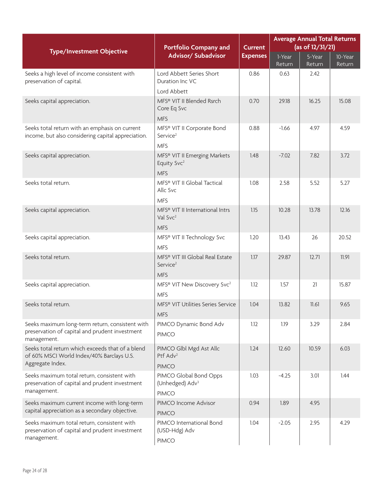| <b>Type/Investment Objective</b>                                                                                 | <b>Portfolio Company and</b>                            | <b>Current</b>  | <b>Average Annual Total Returns</b><br>(as of 12/31/21) |                                |                   |  |
|------------------------------------------------------------------------------------------------------------------|---------------------------------------------------------|-----------------|---------------------------------------------------------|--------------------------------|-------------------|--|
|                                                                                                                  | <b>Advisor/ Subadvisor</b>                              | <b>Expenses</b> | 1-Year<br>Return                                        | $\overline{5}$ -Year<br>Return | 10-Year<br>Return |  |
| Seeks a high level of income consistent with<br>preservation of capital.                                         | Lord Abbett Series Short<br>Duration Inc VC             | 0.86            | 0.63                                                    | 2.42                           |                   |  |
|                                                                                                                  | Lord Abbett                                             |                 |                                                         |                                |                   |  |
| Seeks capital appreciation.                                                                                      | MFS® VIT II Blended Rsrch<br>Core Eq Svc                | 0.70            | 29.18                                                   | 16.25                          | 15.08             |  |
|                                                                                                                  | <b>MFS</b>                                              |                 |                                                         |                                |                   |  |
| Seeks total return with an emphasis on current<br>income, but also considering capital appreciation.             | MFS® VIT II Corporate Bond<br>Service <sup>2</sup>      | 0.88            | $-1.66$                                                 | 4.97                           | 4.59              |  |
|                                                                                                                  | <b>MFS</b>                                              |                 |                                                         |                                |                   |  |
| Seeks capital appreciation.                                                                                      | MFS® VIT II Emerging Markets<br>Equity Svc <sup>2</sup> | 1.48            | $-7.02$                                                 | 7.82                           | 3.72              |  |
|                                                                                                                  | <b>MFS</b>                                              |                 |                                                         |                                |                   |  |
| Seeks total return.                                                                                              | MFS® VIT II Global Tactical<br>Allc Svc                 | 1.08            | 2.58                                                    | 5.52                           | 5.27              |  |
|                                                                                                                  | <b>MFS</b>                                              |                 |                                                         |                                |                   |  |
| Seeks capital appreciation.                                                                                      | MFS® VIT II International Intrs<br>Val Svc <sup>2</sup> | 1.15            | 10.28                                                   | 13.78                          | 12.16             |  |
|                                                                                                                  | <b>MFS</b>                                              |                 |                                                         |                                |                   |  |
| Seeks capital appreciation.                                                                                      | MFS® VIT II Technology Svc                              | 1.20            | 13.43                                                   | 26                             | 20.52             |  |
|                                                                                                                  | <b>MFS</b>                                              |                 |                                                         |                                |                   |  |
| Seeks total return.                                                                                              | MFS® VIT III Global Real Estate<br>Service <sup>2</sup> | 1.17            | 29.87                                                   | 12.71                          | 11.91             |  |
|                                                                                                                  | <b>MFS</b>                                              |                 |                                                         |                                |                   |  |
| Seeks capital appreciation.                                                                                      | MFS® VIT New Discovery Svc <sup>2</sup><br><b>MFS</b>   | 1.12            | 1.57                                                    | 21                             | 15.87             |  |
| Seeks total return.                                                                                              | MFS® VIT Utilities Series Service                       | 1.04            | 13.82                                                   | 11.61                          | 9.65              |  |
|                                                                                                                  | <b>MFS</b>                                              |                 |                                                         |                                |                   |  |
| Seeks maximum long-term return, consistent with<br>preservation of capital and prudent investment<br>management. | PIMCO Dynamic Bond Adv<br><b>PIMCO</b>                  | 1.12            | 1.19                                                    | 3.29                           | 2.84              |  |
| Seeks total return which exceeds that of a blend                                                                 | PIMCO Glbl Mgd Ast Allc                                 | 1.24            | 12.60                                                   | 10.59                          | 6.03              |  |
| of 60% MSCI World Index/40% Barclays U.S.<br>Aggregate Index.                                                    | Ptf Adv <sup>2</sup><br><b>PIMCO</b>                    |                 |                                                         |                                |                   |  |
| Seeks maximum total return, consistent with                                                                      | PIMCO Global Bond Opps                                  | 1.03            | $-4.25$                                                 | 3.01                           | 1.44              |  |
| preservation of capital and prudent investment<br>management.                                                    | (Unhedged) Adv <sup>3</sup>                             |                 |                                                         |                                |                   |  |
|                                                                                                                  | <b>PIMCO</b><br>PIMCO Income Advisor                    |                 |                                                         |                                |                   |  |
| Seeks maximum current income with long-term<br>capital appreciation as a secondary objective.                    | <b>PIMCO</b>                                            | 0.94            | 1.89                                                    | 4.95                           |                   |  |
| Seeks maximum total return, consistent with<br>preservation of capital and prudent investment<br>management.     | PIMCO International Bond<br>(USD-Hdg) Adv               | 1.04            | $-2.05$                                                 | 2.95                           | 4.29              |  |
|                                                                                                                  | <b>PIMCO</b>                                            |                 |                                                         |                                |                   |  |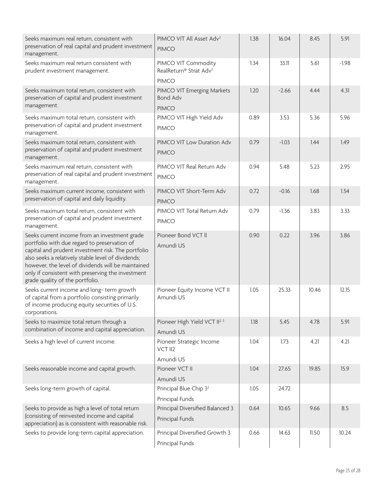| Seeks maximum real return, consistent with<br>preservation of real capital and prudent investment<br>management.                                                                                                                                                                                                                                        | PIMCO VIT All Asset Adv <sup>2</sup><br><b>PIMCO</b>                      | 1.38 | 16.04   | 8.45  | 5.91    |
|---------------------------------------------------------------------------------------------------------------------------------------------------------------------------------------------------------------------------------------------------------------------------------------------------------------------------------------------------------|---------------------------------------------------------------------------|------|---------|-------|---------|
| Seeks maximum real return consistent with<br>prudent investment management.                                                                                                                                                                                                                                                                             | PIMCO VIT Commodity<br>RealReturn® Strat Adv <sup>2</sup><br><b>PIMCO</b> | 1.34 | 33.11   | 5.61  | $-1.98$ |
| Seeks maximum total return, consistent with<br>preservation of capital and prudent investment<br>management.                                                                                                                                                                                                                                            | PIMCO VIT Emerging Markets<br><b>Bond Adv</b><br><b>PIMCO</b>             | 1.20 | $-2.66$ | 4.44  | 4.31    |
| Seeks maximum total return, consistent with<br>preservation of capital and prudent investment<br>management.                                                                                                                                                                                                                                            | PIMCO VIT High Yield Adv<br><b>PIMCO</b>                                  | 0.89 | 3.53    | 5.36  | 5.96    |
| Seeks maximum total return, consistent with<br>preservation of capital and prudent investment<br>management.                                                                                                                                                                                                                                            | PIMCO VIT Low Duration Adv<br><b>PIMCO</b>                                | 0.79 | $-1.03$ | 1.44  | 1.49    |
| Seeks maximum real return, consistent with<br>preservation of real capital and prudent investment<br>management.                                                                                                                                                                                                                                        | PIMCO VIT Real Return Adv<br><b>PIMCO</b>                                 | 0.94 | 5.48    | 5.23  | 2.95    |
| Seeks maximum current income, consistent with<br>preservation of capital and daily liquidity.                                                                                                                                                                                                                                                           | PIMCO VIT Short-Term Adv<br><b>PIMCO</b>                                  | 0.72 | $-0.16$ | 1.68  | 1.54    |
| Seeks maximum total return, consistent with<br>preservation of capital and prudent investment<br>management.                                                                                                                                                                                                                                            | PIMCO VIT Total Return Adv<br><b>PIMCO</b>                                | 0.79 | $-1.36$ | 3.83  | 3.33    |
| Seeks current income from an investment grade<br>portfolio with due regard to preservation of<br>capital and prudent investment risk. The portfolio<br>also seeks a relatively stable level of dividends;<br>however, the level of dividends will be maintained<br>only if consistent with preserving the investment<br>grade quality of the portfolio. | Pioneer Bond VCT II<br>Amundi US                                          | 0.90 | 0.22    | 3.96  | 3.86    |
| Seeks current income and long-term growth<br>of capital from a portfolio consisting primarily<br>of income producing equity securities of U.S.<br>corporations.                                                                                                                                                                                         | Pioneer Equity Income VCT II<br>Amundi US                                 | 1.05 | 25.33   | 10.46 | 12.15   |
| Seeks to maximize total return through a<br>combination of income and capital appreciation.                                                                                                                                                                                                                                                             | Pioneer High Yield VCT II <sup>2, 3</sup><br>Amundi US                    | 1.18 | 5.45    | 4.78  | 5.91    |
| Seeks a high level of current income.                                                                                                                                                                                                                                                                                                                   | Pioneer Strategic Income<br>VCT II2<br>Amundi US                          | 1.04 | 1.73    | 4.21  | 4.21    |
| Seeks reasonable income and capital growth.                                                                                                                                                                                                                                                                                                             | Pioneer VCT II<br>Amundi US                                               | 1.04 | 27.65   | 19.85 | 15.9    |
| Seeks long-term growth of capital.                                                                                                                                                                                                                                                                                                                      | Principal Blue Chip 3 <sup>2</sup><br>Principal Funds                     | 1.05 | 24.72   |       |         |
| Seeks to provide as high a level of total return<br>(consisting of reinvested income and capital<br>appreciation) as is consistent with reasonable risk.                                                                                                                                                                                                | Principal Diversified Balanced 3<br>Principal Funds                       | 0.64 | 10.65   | 9.66  | 8.5     |
| Seeks to provide long-term capital appreciation.                                                                                                                                                                                                                                                                                                        | Principal Diversified Growth 3<br>Principal Funds                         | 0.66 | 14.63   | 11.50 | 10.24   |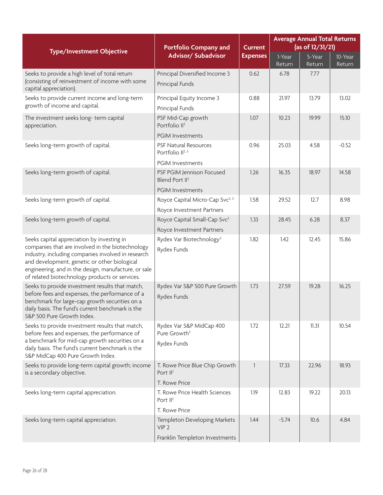| <b>Type/Investment Objective</b>                                                                                                                                                                                                                                                                               | <b>Portfolio Company and</b>                                        | <b>Current</b>  | <b>Average Annual Total Returns</b><br>(as of 12/31/21) |                                |                   |  |
|----------------------------------------------------------------------------------------------------------------------------------------------------------------------------------------------------------------------------------------------------------------------------------------------------------------|---------------------------------------------------------------------|-----------------|---------------------------------------------------------|--------------------------------|-------------------|--|
|                                                                                                                                                                                                                                                                                                                | Advisor/ Subadvisor                                                 | <b>Expenses</b> | 1-Year<br>Return                                        | $\overline{5}$ -Year<br>Return | 10-Year<br>Return |  |
| Seeks to provide a high level of total return                                                                                                                                                                                                                                                                  | Principal Diversified Income 3                                      | 0.62            | 6.78                                                    | 7.77                           |                   |  |
| (consisting of reinvestment of income with some<br>capital appreciation).                                                                                                                                                                                                                                      | Principal Funds                                                     |                 |                                                         |                                |                   |  |
| Seeks to provide current income and long-term                                                                                                                                                                                                                                                                  | Principal Equity Income 3                                           | 0.88            | 21.97                                                   | 13.79                          | 13.02             |  |
| growth of income and capital.                                                                                                                                                                                                                                                                                  | Principal Funds                                                     |                 |                                                         |                                |                   |  |
| The investment seeks long-term capital<br>appreciation.                                                                                                                                                                                                                                                        | PSF Mid-Cap growth<br>Portfolio II <sup>3</sup>                     | 1.07            | 10.23                                                   | 19.99                          | 15.10             |  |
|                                                                                                                                                                                                                                                                                                                | <b>PGIM Investments</b>                                             |                 |                                                         |                                |                   |  |
| Seeks long-term growth of capital.                                                                                                                                                                                                                                                                             | <b>PSF Natural Resources</b><br>Portfolio II <sup>2, 3</sup>        | 0.96            | 25.03                                                   | 4.58                           | $-0.52$           |  |
|                                                                                                                                                                                                                                                                                                                | <b>PGIM Investments</b>                                             |                 |                                                         |                                |                   |  |
| Seeks long-term growth of capital.                                                                                                                                                                                                                                                                             | PSF PGIM Jennison Focused<br>Blend Port II <sup>3</sup>             | 1.26            | 16.35                                                   | 18.97                          | 14.58             |  |
|                                                                                                                                                                                                                                                                                                                | <b>PGIM Investments</b>                                             |                 |                                                         |                                |                   |  |
| Seeks long-term growth of capital.                                                                                                                                                                                                                                                                             | Royce Capital Micro-Cap Svc <sup>2, 3</sup>                         | 1.58            | 29.52                                                   | 12.7                           | 8.98              |  |
|                                                                                                                                                                                                                                                                                                                | Royce Investment Partners                                           |                 |                                                         |                                |                   |  |
| Seeks long-term growth of capital.                                                                                                                                                                                                                                                                             | Royce Capital Small-Cap Svc <sup>2</sup>                            | 1.33            | 28.45                                                   | 6.28                           | 8.37              |  |
|                                                                                                                                                                                                                                                                                                                | Royce Investment Partners                                           |                 |                                                         |                                |                   |  |
| Seeks capital appreciation by investing in<br>companies that are involved in the biotechnology<br>industry, including companies involved in research<br>and development, genetic or other biological<br>engineering, and in the design, manufacture, or sale<br>of related biotechnology products or services. | Rydex Var Biotechnology <sup>3</sup><br>Rydex Funds                 | 1.82            | 1.42                                                    | 12.45                          | 15.86             |  |
| Seeks to provide investment results that match,<br>before fees and expenses, the performance of a<br>benchmark for large-cap growth securities on a<br>daily basis. The fund's current benchmark is the<br>S&P 500 Pure Growth Index.                                                                          | Rydex Var S&P 500 Pure Growth<br>Rydex Funds                        | 1.73            | 27.59                                                   | 19.28                          | 16.25             |  |
| Seeks to provide investment results that match,<br>before fees and expenses, the performance of<br>a benchmark for mid-cap growth securities on a<br>daily basis. The fund's current benchmark is the<br>S&P MidCap 400 Pure Growth Index.                                                                     | Rydex Var S&P MidCap 400<br>Pure Growth <sup>3</sup><br>Rydex Funds | 1.72            | 12.21                                                   | 11.31                          | 10.54             |  |
| Seeks to provide long-term capital growth; income<br>is a secondary objective.                                                                                                                                                                                                                                 | T. Rowe Price Blue Chip Growth<br>Port $II^2$                       | 1               | 17.33                                                   | 22.96                          | 18.93             |  |
|                                                                                                                                                                                                                                                                                                                | T. Rowe Price                                                       |                 |                                                         |                                |                   |  |
| Seeks long-term capital appreciation.                                                                                                                                                                                                                                                                          | T. Rowe Price Health Sciences<br>Port $II^2$                        | 1.19            | 12.83                                                   | 19.22                          | 20.13             |  |
|                                                                                                                                                                                                                                                                                                                | T. Rowe Price                                                       |                 |                                                         |                                |                   |  |
| Seeks long-term capital appreciation.                                                                                                                                                                                                                                                                          | Templeton Developing Markets<br>VIP <sub>2</sub>                    | 1.44            | $-5.74$                                                 | 10.6                           | 4.84              |  |
|                                                                                                                                                                                                                                                                                                                | Franklin Templeton Investments                                      |                 |                                                         |                                |                   |  |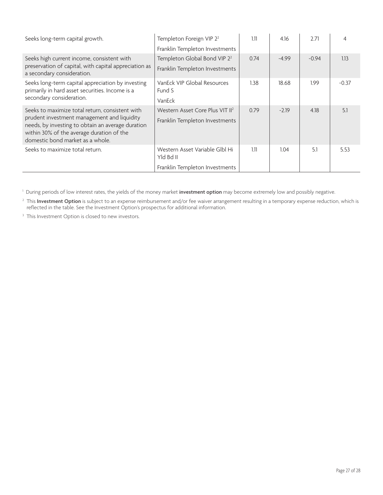| Seeks long-term capital growth.                                                                                                                                                                                                      | Templeton Foreign VIP 2 <sup>2</sup><br>Franklin Templeton Investments        | 1.11 | 4.16    | 2.71    | 4       |
|--------------------------------------------------------------------------------------------------------------------------------------------------------------------------------------------------------------------------------------|-------------------------------------------------------------------------------|------|---------|---------|---------|
| Seeks high current income, consistent with<br>preservation of capital, with capital appreciation as<br>a secondary consideration.                                                                                                    | Templeton Global Bond VIP 2 <sup>2</sup><br>Franklin Templeton Investments    | 0.74 | $-4.99$ | $-0.94$ | 1.13    |
| Seeks long-term capital appreciation by investing<br>primarily in hard asset securities. Income is a<br>secondary consideration.                                                                                                     | VanEck VIP Global Resources<br>Fund S<br>VanEck                               | 1.38 | 18.68   | 1.99    | $-0.37$ |
| Seeks to maximize total return, consistent with<br>prudent investment management and liquidity<br>needs, by investing to obtain an average duration<br>within 30% of the average duration of the<br>domestic bond market as a whole. | Western Asset Core Plus VIT II <sup>2</sup><br>Franklin Templeton Investments | 0.79 | $-2.19$ | 4.18    | 5.1     |
| Seeks to maximize total return.                                                                                                                                                                                                      | Western Asset Variable Glbl Hi<br>Yld Bd II<br>Franklin Templeton Investments | 1.11 | 1.04    | 5.1     | 5.53    |

1 During periods of low interest rates, the yields of the money market **investment option** may become extremely low and possibly negative.

2 This **Investment Option** is subject to an expense reimbursement and/or fee waiver arrangement resulting in a temporary expense reduction, which is reflected in the table. See the Investment Option's prospectus for additional information.

<sup>3</sup> This Investment Option is closed to new investors.